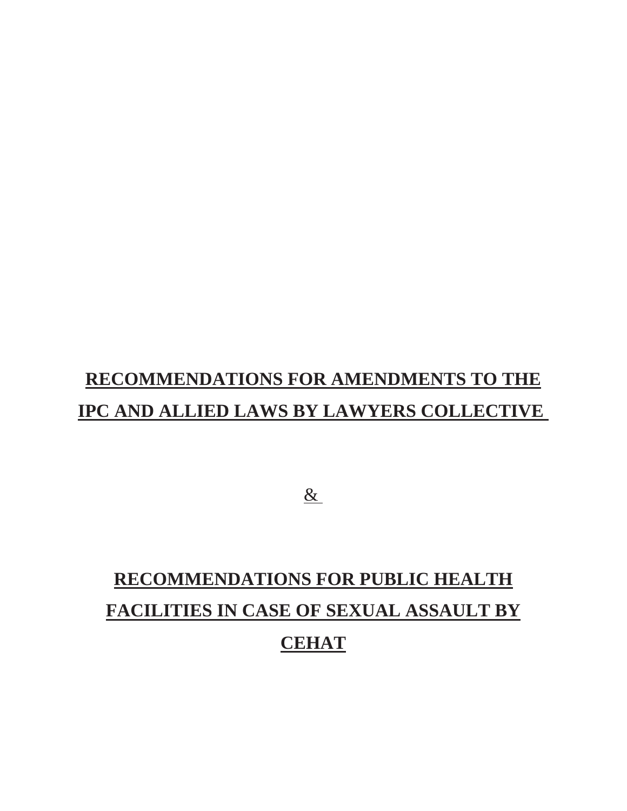# **RECOMMENDATIONS FOR AMENDMENTS TO THE IPC AND ALLIED LAWS BY LAWYERS COLLECTIVE**

 $\underline{\&}$ 

# **RECOMMENDATIONS FOR PUBLIC HEALTH FACILITIES IN CASE OF SEXUAL ASSAULT BY CEHAT**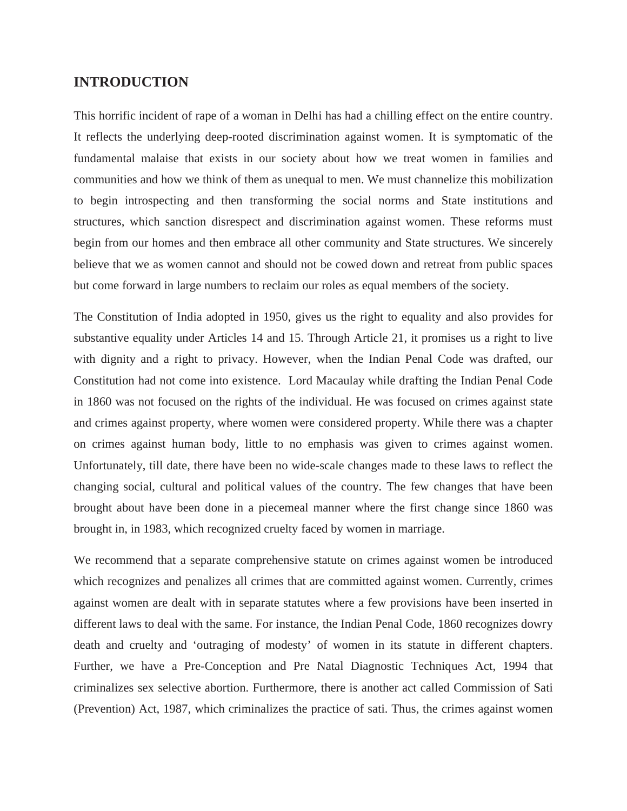#### **INTRODUCTION**

This horrific incident of rape of a woman in Delhi has had a chilling effect on the entire country. It reflects the underlying deep-rooted discrimination against women. It is symptomatic of the fundamental malaise that exists in our society about how we treat women in families and communities and how we think of them as unequal to men. We must channelize this mobilization to begin introspecting and then transforming the social norms and State institutions and structures, which sanction disrespect and discrimination against women. These reforms must begin from our homes and then embrace all other community and State structures. We sincerely believe that we as women cannot and should not be cowed down and retreat from public spaces but come forward in large numbers to reclaim our roles as equal members of the society.

The Constitution of India adopted in 1950, gives us the right to equality and also provides for substantive equality under Articles 14 and 15. Through Article 21, it promises us a right to live with dignity and a right to privacy. However, when the Indian Penal Code was drafted, our Constitution had not come into existence. Lord Macaulay while drafting the Indian Penal Code in 1860 was not focused on the rights of the individual. He was focused on crimes against state and crimes against property, where women were considered property. While there was a chapter on crimes against human body, little to no emphasis was given to crimes against women. Unfortunately, till date, there have been no wide-scale changes made to these laws to reflect the changing social, cultural and political values of the country. The few changes that have been brought about have been done in a piecemeal manner where the first change since 1860 was brought in, in 1983, which recognized cruelty faced by women in marriage.

We recommend that a separate comprehensive statute on crimes against women be introduced which recognizes and penalizes all crimes that are committed against women. Currently, crimes against women are dealt with in separate statutes where a few provisions have been inserted in different laws to deal with the same. For instance, the Indian Penal Code, 1860 recognizes dowry death and cruelty and 'outraging of modesty' of women in its statute in different chapters. Further, we have a Pre-Conception and Pre Natal Diagnostic Techniques Act, 1994 that criminalizes sex selective abortion. Furthermore, there is another act called Commission of Sati (Prevention) Act, 1987, which criminalizes the practice of sati. Thus, the crimes against women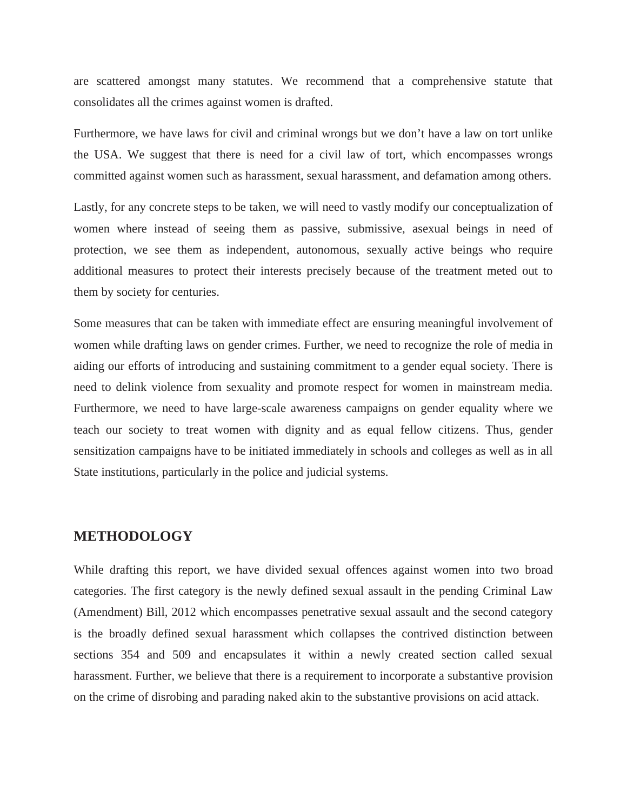are scattered amongst many statutes. We recommend that a comprehensive statute that consolidates all the crimes against women is drafted.

Furthermore, we have laws for civil and criminal wrongs but we don't have a law on tort unlike the USA. We suggest that there is need for a civil law of tort, which encompasses wrongs committed against women such as harassment, sexual harassment, and defamation among others.

Lastly, for any concrete steps to be taken, we will need to vastly modify our conceptualization of women where instead of seeing them as passive, submissive, asexual beings in need of protection, we see them as independent, autonomous, sexually active beings who require additional measures to protect their interests precisely because of the treatment meted out to them by society for centuries.

Some measures that can be taken with immediate effect are ensuring meaningful involvement of women while drafting laws on gender crimes. Further, we need to recognize the role of media in aiding our efforts of introducing and sustaining commitment to a gender equal society. There is need to delink violence from sexuality and promote respect for women in mainstream media. Furthermore, we need to have large-scale awareness campaigns on gender equality where we teach our society to treat women with dignity and as equal fellow citizens. Thus, gender sensitization campaigns have to be initiated immediately in schools and colleges as well as in all State institutions, particularly in the police and judicial systems.

#### **METHODOLOGY**

While drafting this report, we have divided sexual offences against women into two broad categories. The first category is the newly defined sexual assault in the pending Criminal Law (Amendment) Bill, 2012 which encompasses penetrative sexual assault and the second category is the broadly defined sexual harassment which collapses the contrived distinction between sections 354 and 509 and encapsulates it within a newly created section called sexual harassment. Further, we believe that there is a requirement to incorporate a substantive provision on the crime of disrobing and parading naked akin to the substantive provisions on acid attack.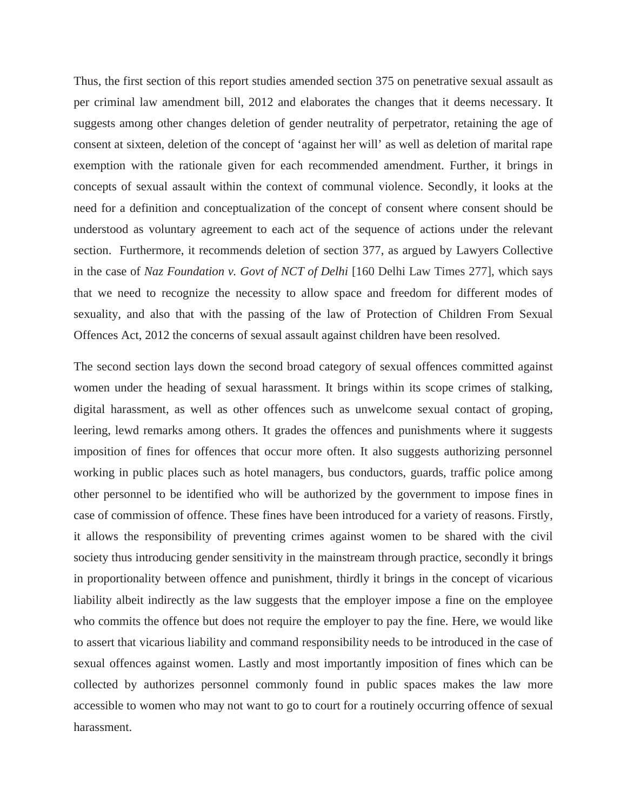Thus, the first section of this report studies amended section 375 on penetrative sexual assault as per criminal law amendment bill, 2012 and elaborates the changes that it deems necessary. It suggests among other changes deletion of gender neutrality of perpetrator, retaining the age of consent at sixteen, deletion of the concept of 'against her will' as well as deletion of marital rape exemption with the rationale given for each recommended amendment. Further, it brings in concepts of sexual assault within the context of communal violence. Secondly, it looks at the need for a definition and conceptualization of the concept of consent where consent should be understood as voluntary agreement to each act of the sequence of actions under the relevant section. Furthermore, it recommends deletion of section 377, as argued by Lawyers Collective in the case of *Naz Foundation v. Govt of NCT of Delhi* [160 Delhi Law Times 277], which says that we need to recognize the necessity to allow space and freedom for different modes of sexuality, and also that with the passing of the law of Protection of Children From Sexual Offences Act, 2012 the concerns of sexual assault against children have been resolved.

The second section lays down the second broad category of sexual offences committed against women under the heading of sexual harassment. It brings within its scope crimes of stalking, digital harassment, as well as other offences such as unwelcome sexual contact of groping, leering, lewd remarks among others. It grades the offences and punishments where it suggests imposition of fines for offences that occur more often. It also suggests authorizing personnel working in public places such as hotel managers, bus conductors, guards, traffic police among other personnel to be identified who will be authorized by the government to impose fines in case of commission of offence. These fines have been introduced for a variety of reasons. Firstly, it allows the responsibility of preventing crimes against women to be shared with the civil society thus introducing gender sensitivity in the mainstream through practice, secondly it brings in proportionality between offence and punishment, thirdly it brings in the concept of vicarious liability albeit indirectly as the law suggests that the employer impose a fine on the employee who commits the offence but does not require the employer to pay the fine. Here, we would like to assert that vicarious liability and command responsibility needs to be introduced in the case of sexual offences against women. Lastly and most importantly imposition of fines which can be collected by authorizes personnel commonly found in public spaces makes the law more accessible to women who may not want to go to court for a routinely occurring offence of sexual harassment.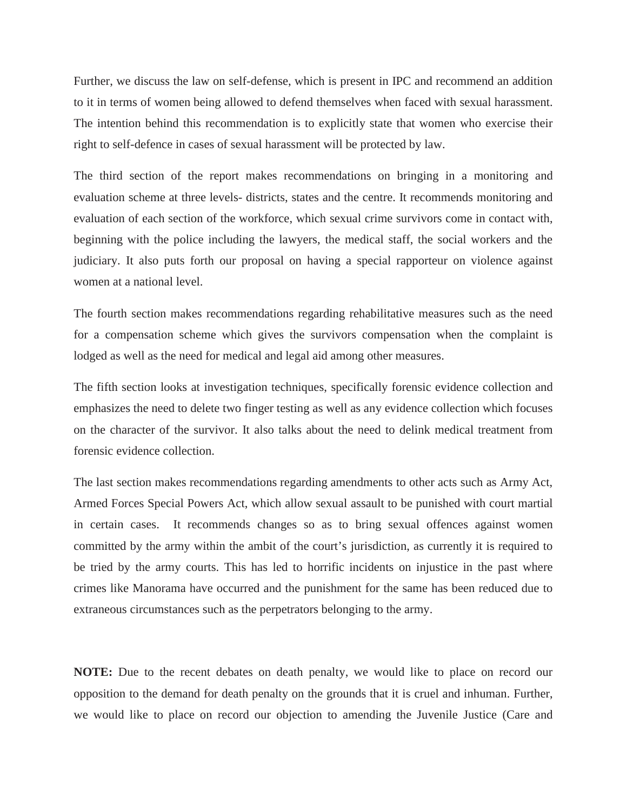Further, we discuss the law on self-defense, which is present in IPC and recommend an addition to it in terms of women being allowed to defend themselves when faced with sexual harassment. The intention behind this recommendation is to explicitly state that women who exercise their right to self-defence in cases of sexual harassment will be protected by law.

The third section of the report makes recommendations on bringing in a monitoring and evaluation scheme at three levels- districts, states and the centre. It recommends monitoring and evaluation of each section of the workforce, which sexual crime survivors come in contact with, beginning with the police including the lawyers, the medical staff, the social workers and the judiciary. It also puts forth our proposal on having a special rapporteur on violence against women at a national level.

The fourth section makes recommendations regarding rehabilitative measures such as the need for a compensation scheme which gives the survivors compensation when the complaint is lodged as well as the need for medical and legal aid among other measures.

The fifth section looks at investigation techniques, specifically forensic evidence collection and emphasizes the need to delete two finger testing as well as any evidence collection which focuses on the character of the survivor. It also talks about the need to delink medical treatment from forensic evidence collection.

The last section makes recommendations regarding amendments to other acts such as Army Act, Armed Forces Special Powers Act, which allow sexual assault to be punished with court martial in certain cases. It recommends changes so as to bring sexual offences against women committed by the army within the ambit of the court's jurisdiction, as currently it is required to be tried by the army courts. This has led to horrific incidents on injustice in the past where crimes like Manorama have occurred and the punishment for the same has been reduced due to extraneous circumstances such as the perpetrators belonging to the army.

**NOTE:** Due to the recent debates on death penalty, we would like to place on record our opposition to the demand for death penalty on the grounds that it is cruel and inhuman. Further, we would like to place on record our objection to amending the Juvenile Justice (Care and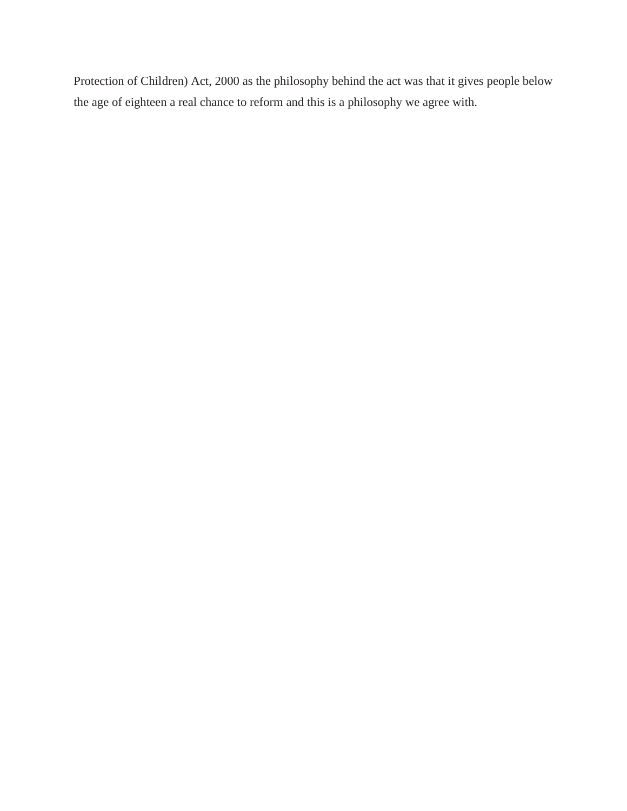Protection of Children) Act, 2000 as the philosophy behind the act was that it gives people below the age of eighteen a real chance to reform and this is a philosophy we agree with.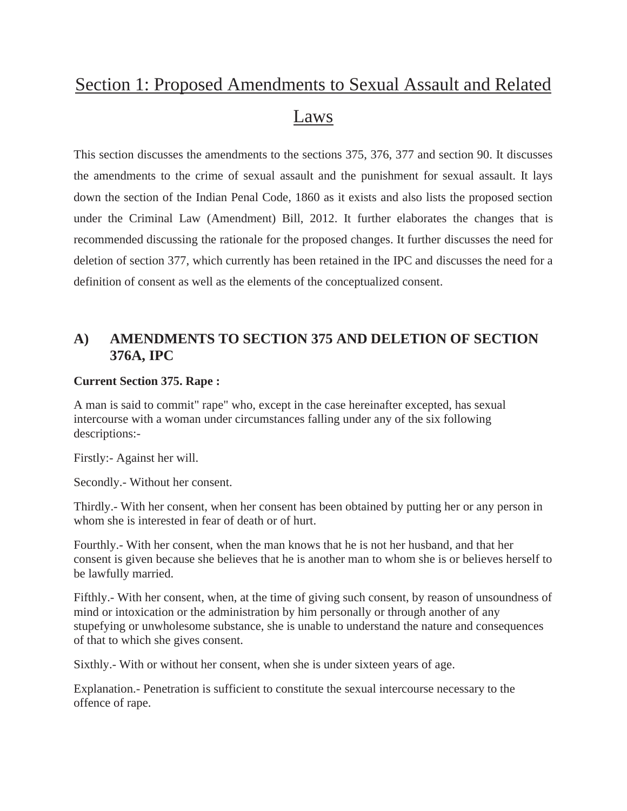# Section 1: Proposed Amendments to Sexual Assault and Related Laws

This section discusses the amendments to the sections 375, 376, 377 and section 90. It discusses the amendments to the crime of sexual assault and the punishment for sexual assault. It lays down the section of the Indian Penal Code, 1860 as it exists and also lists the proposed section under the Criminal Law (Amendment) Bill, 2012. It further elaborates the changes that is recommended discussing the rationale for the proposed changes. It further discusses the need for deletion of section 377, which currently has been retained in the IPC and discusses the need for a definition of consent as well as the elements of the conceptualized consent.

## **A) AMENDMENTS TO SECTION 375 AND DELETION OF SECTION 376A, IPC**

#### **Current Section 375. Rape :**

A man is said to commit" rape" who, except in the case hereinafter excepted, has sexual intercourse with a woman under circumstances falling under any of the six following descriptions:-

Firstly:- Against her will.

Secondly.- Without her consent.

Thirdly.- With her consent, when her consent has been obtained by putting her or any person in whom she is interested in fear of death or of hurt.

Fourthly.- With her consent, when the man knows that he is not her husband, and that her consent is given because she believes that he is another man to whom she is or believes herself to be lawfully married.

Fifthly.- With her consent, when, at the time of giving such consent, by reason of unsoundness of mind or intoxication or the administration by him personally or through another of any stupefying or unwholesome substance, she is unable to understand the nature and consequences of that to which she gives consent.

Sixthly.- With or without her consent, when she is under sixteen years of age.

Explanation.- Penetration is sufficient to constitute the sexual intercourse necessary to the offence of rape.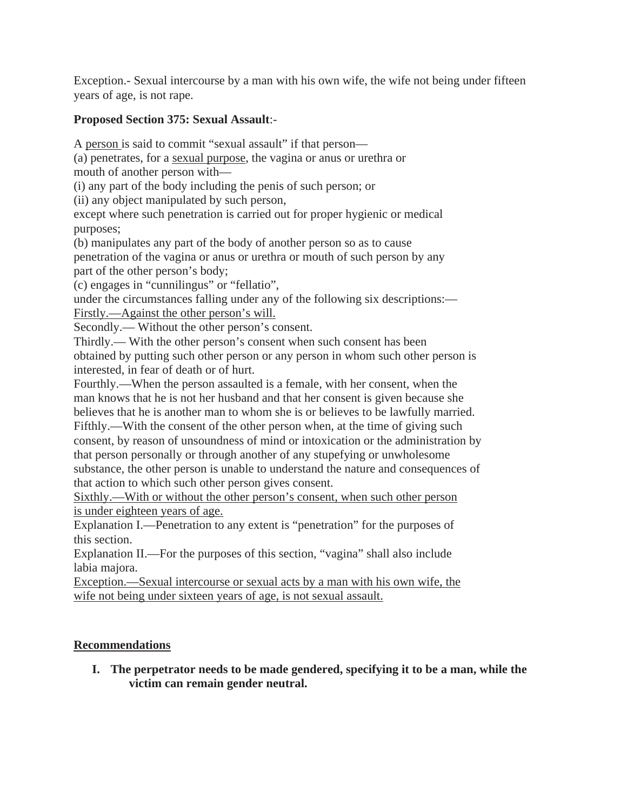Exception.- Sexual intercourse by a man with his own wife, the wife not being under fifteen years of age, is not rape.

### **Proposed Section 375: Sexual Assault**:-

A person is said to commit "sexual assault" if that person—

(a) penetrates, for a sexual purpose, the vagina or anus or urethra or mouth of another person with—

(i) any part of the body including the penis of such person; or

(ii) any object manipulated by such person,

except where such penetration is carried out for proper hygienic or medical purposes;

(b) manipulates any part of the body of another person so as to cause penetration of the vagina or anus or urethra or mouth of such person by any part of the other person's body;

(c) engages in "cunnilingus" or "fellatio",

under the circumstances falling under any of the following six descriptions:— Firstly.—Against the other person's will.

Secondly.— Without the other person's consent.

Thirdly.— With the other person's consent when such consent has been obtained by putting such other person or any person in whom such other person is interested, in fear of death or of hurt.

Fourthly.—When the person assaulted is a female, with her consent, when the man knows that he is not her husband and that her consent is given because she believes that he is another man to whom she is or believes to be lawfully married. Fifthly.—With the consent of the other person when, at the time of giving such consent, by reason of unsoundness of mind or intoxication or the administration by that person personally or through another of any stupefying or unwholesome

substance, the other person is unable to understand the nature and consequences of that action to which such other person gives consent.

Sixthly.—With or without the other person's consent, when such other person is under eighteen years of age.

Explanation I.—Penetration to any extent is "penetration" for the purposes of this section.

Explanation II.—For the purposes of this section, "vagina" shall also include labia majora.

Exception.—Sexual intercourse or sexual acts by a man with his own wife, the wife not being under sixteen years of age, is not sexual assault.

### **Recommendations**

**I. The perpetrator needs to be made gendered, specifying it to be a man, while the victim can remain gender neutral.**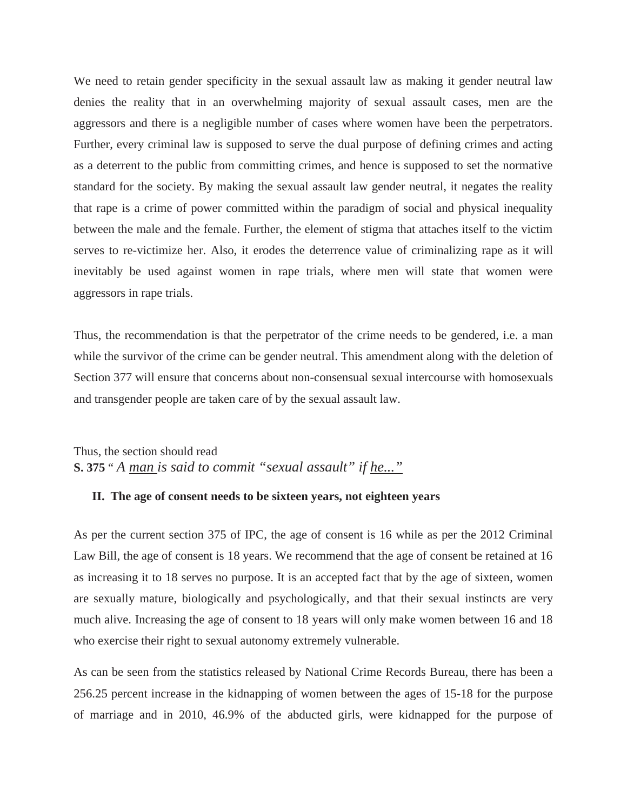We need to retain gender specificity in the sexual assault law as making it gender neutral law denies the reality that in an overwhelming majority of sexual assault cases, men are the aggressors and there is a negligible number of cases where women have been the perpetrators. Further, every criminal law is supposed to serve the dual purpose of defining crimes and acting as a deterrent to the public from committing crimes, and hence is supposed to set the normative standard for the society. By making the sexual assault law gender neutral, it negates the reality that rape is a crime of power committed within the paradigm of social and physical inequality between the male and the female. Further, the element of stigma that attaches itself to the victim serves to re-victimize her. Also, it erodes the deterrence value of criminalizing rape as it will inevitably be used against women in rape trials, where men will state that women were aggressors in rape trials.

Thus, the recommendation is that the perpetrator of the crime needs to be gendered, i.e. a man while the survivor of the crime can be gender neutral. This amendment along with the deletion of Section 377 will ensure that concerns about non-consensual sexual intercourse with homosexuals and transgender people are taken care of by the sexual assault law.

Thus, the section should read **S. 375** " *A man is said to commit "sexual assault" if he..."*

#### **II. The age of consent needs to be sixteen years, not eighteen years**

As per the current section 375 of IPC, the age of consent is 16 while as per the 2012 Criminal Law Bill, the age of consent is 18 years. We recommend that the age of consent be retained at 16 as increasing it to 18 serves no purpose. It is an accepted fact that by the age of sixteen, women are sexually mature, biologically and psychologically, and that their sexual instincts are very much alive. Increasing the age of consent to 18 years will only make women between 16 and 18 who exercise their right to sexual autonomy extremely vulnerable.

As can be seen from the statistics released by National Crime Records Bureau, there has been a 256.25 percent increase in the kidnapping of women between the ages of 15-18 for the purpose of marriage and in 2010, 46.9% of the abducted girls, were kidnapped for the purpose of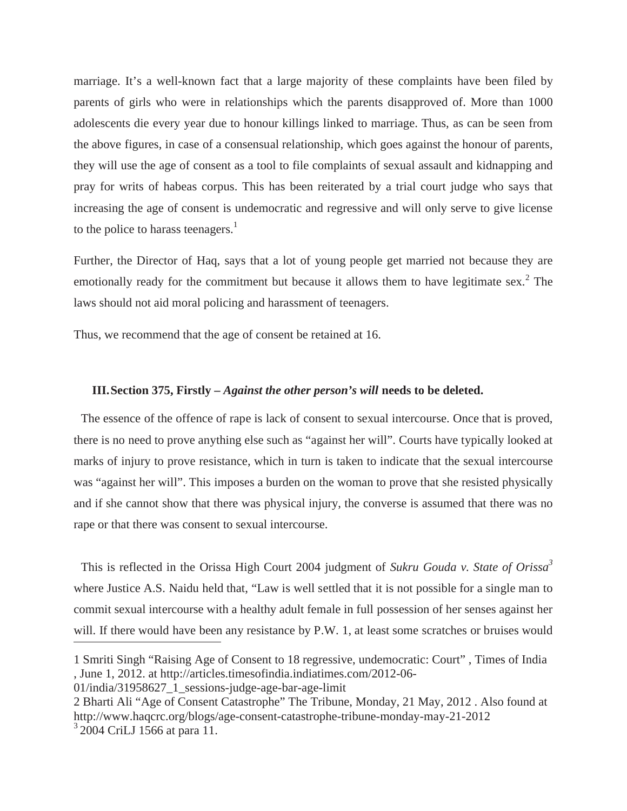marriage. It's a well-known fact that a large majority of these complaints have been filed by parents of girls who were in relationships which the parents disapproved of. More than 1000 adolescents die every year due to honour killings linked to marriage. Thus, as can be seen from the above figures, in case of a consensual relationship, which goes against the honour of parents, they will use the age of consent as a tool to file complaints of sexual assault and kidnapping and pray for writs of habeas corpus. This has been reiterated by a trial court judge who says that increasing the age of consent is undemocratic and regressive and will only serve to give license to the police to harass teenagers.<sup>1</sup>

Further, the Director of Haq, says that a lot of young people get married not because they are emotionally ready for the commitment but because it allows them to have legitimate sex.<sup>2</sup> The laws should not aid moral policing and harassment of teenagers.

Thus, we recommend that the age of consent be retained at 16.

#### **III.Section 375, Firstly –** *Against the other person's will* **needs to be deleted.**

The essence of the offence of rape is lack of consent to sexual intercourse. Once that is proved, there is no need to prove anything else such as "against her will". Courts have typically looked at marks of injury to prove resistance, which in turn is taken to indicate that the sexual intercourse was "against her will". This imposes a burden on the woman to prove that she resisted physically and if she cannot show that there was physical injury, the converse is assumed that there was no rape or that there was consent to sexual intercourse.

This is reflected in the Orissa High Court 2004 judgment of *Sukru Gouda v. State of Orissa3* where Justice A.S. Naidu held that, "Law is well settled that it is not possible for a single man to commit sexual intercourse with a healthy adult female in full possession of her senses against her will. If there would have been any resistance by P.W. 1, at least some scratches or bruises would

01/india/31958627\_1\_sessions-judge-age-bar-age-limit

<sup>1</sup> Smriti Singh "Raising Age of Consent to 18 regressive, undemocratic: Court" , Times of India , June 1, 2012. at http://articles.timesofindia.indiatimes.com/2012-06-

<sup>2</sup> Bharti Ali "Age of Consent Catastrophe" The Tribune, Monday, 21 May, 2012 . Also found at http://www.haqcrc.org/blogs/age-consent-catastrophe-tribune-monday-may-21-2012  $3\,2004$  CriLJ 1566 at para 11.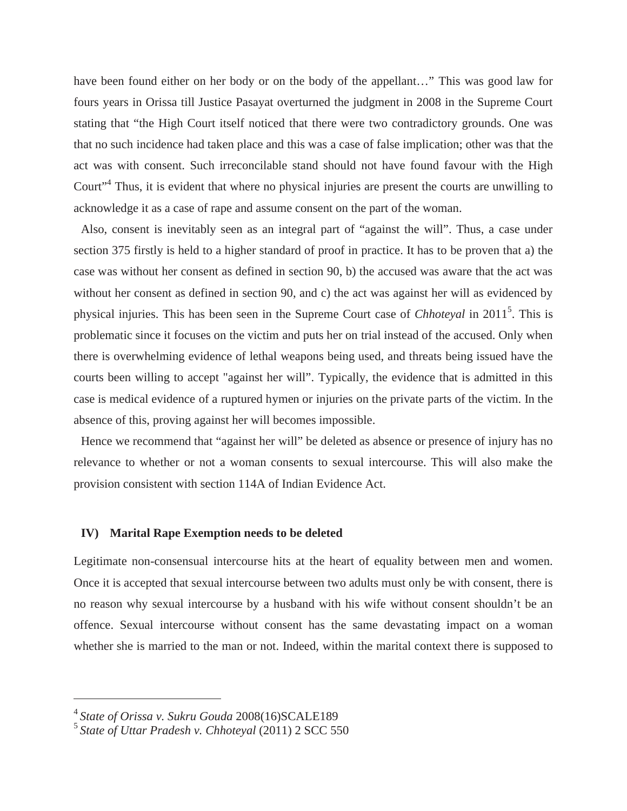have been found either on her body or on the body of the appellant…" This was good law for fours years in Orissa till Justice Pasayat overturned the judgment in 2008 in the Supreme Court stating that "the High Court itself noticed that there were two contradictory grounds. One was that no such incidence had taken place and this was a case of false implication; other was that the act was with consent. Such irreconcilable stand should not have found favour with the High Court<sup>"4</sup> Thus, it is evident that where no physical injuries are present the courts are unwilling to acknowledge it as a case of rape and assume consent on the part of the woman.

Also, consent is inevitably seen as an integral part of "against the will". Thus, a case under section 375 firstly is held to a higher standard of proof in practice. It has to be proven that a) the case was without her consent as defined in section 90, b) the accused was aware that the act was without her consent as defined in section 90, and c) the act was against her will as evidenced by physical injuries. This has been seen in the Supreme Court case of *Chhoteyal* in 2011<sup>5</sup>. This is problematic since it focuses on the victim and puts her on trial instead of the accused. Only when there is overwhelming evidence of lethal weapons being used, and threats being issued have the courts been willing to accept "against her will". Typically, the evidence that is admitted in this case is medical evidence of a ruptured hymen or injuries on the private parts of the victim. In the absence of this, proving against her will becomes impossible.

Hence we recommend that "against her will" be deleted as absence or presence of injury has no relevance to whether or not a woman consents to sexual intercourse. This will also make the provision consistent with section 114A of Indian Evidence Act.

#### **IV) Marital Rape Exemption needs to be deleted**

Legitimate non-consensual intercourse hits at the heart of equality between men and women. Once it is accepted that sexual intercourse between two adults must only be with consent, there is no reason why sexual intercourse by a husband with his wife without consent shouldn't be an offence. Sexual intercourse without consent has the same devastating impact on a woman whether she is married to the man or not. Indeed, within the marital context there is supposed to

<sup>4</sup> *State of Orissa v. Sukru Gouda* 2008(16)SCALE189

<sup>5</sup> *State of Uttar Pradesh v. Chhoteyal* (2011) 2 SCC 550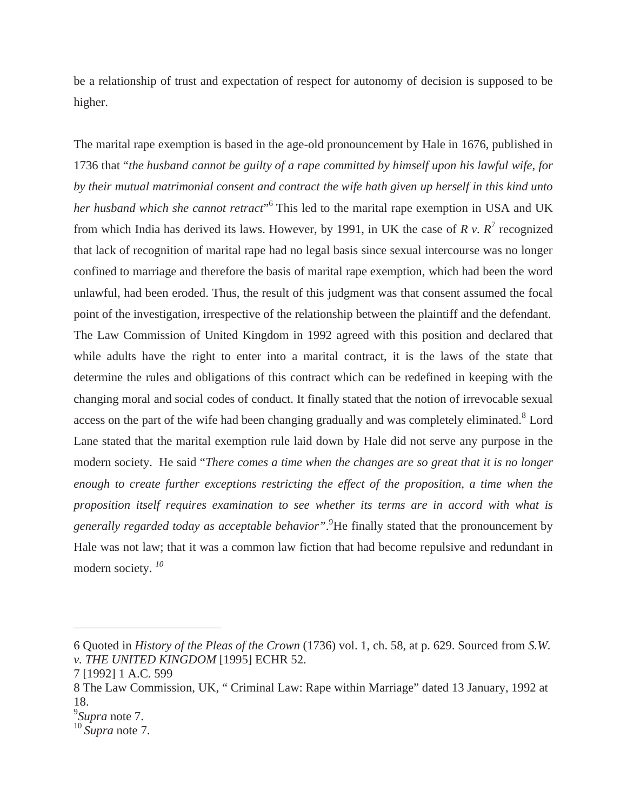be a relationship of trust and expectation of respect for autonomy of decision is supposed to be higher.

The marital rape exemption is based in the age-old pronouncement by Hale in 1676, published in 1736 that "*the husband cannot be guilty of a rape committed by himself upon his lawful wife, for by their mutual matrimonial consent and contract the wife hath given up herself in this kind unto*  her husband which she cannot retract<sup>"</sup> This led to the marital rape exemption in USA and UK from which India has derived its laws. However, by 1991, in UK the case of  $R v$ .  $R^7$  recognized that lack of recognition of marital rape had no legal basis since sexual intercourse was no longer confined to marriage and therefore the basis of marital rape exemption, which had been the word unlawful, had been eroded. Thus, the result of this judgment was that consent assumed the focal point of the investigation, irrespective of the relationship between the plaintiff and the defendant. The Law Commission of United Kingdom in 1992 agreed with this position and declared that while adults have the right to enter into a marital contract, it is the laws of the state that determine the rules and obligations of this contract which can be redefined in keeping with the changing moral and social codes of conduct. It finally stated that the notion of irrevocable sexual access on the part of the wife had been changing gradually and was completely eliminated.<sup>8</sup> Lord Lane stated that the marital exemption rule laid down by Hale did not serve any purpose in the modern society. He said "*There comes a time when the changes are so great that it is no longer enough to create further exceptions restricting the effect of the proposition, a time when the proposition itself requires examination to see whether its terms are in accord with what is generally regarded today as acceptable behavior"*. 9 He finally stated that the pronouncement by Hale was not law; that it was a common law fiction that had become repulsive and redundant in modern society. *<sup>10</sup>*

<sup>6</sup> Quoted in *History of the Pleas of the Crown* (1736) vol. 1, ch. 58, at p. 629. Sourced from *S.W. v. THE UNITED KINGDOM* [1995] ECHR 52.

<sup>7 [1992] 1</sup> A.C. 599

<sup>8</sup> The Law Commission, UK, " Criminal Law: Rape within Marriage" dated 13 January, 1992 at 18.

<sup>9</sup> *Supra* note 7.

<sup>10</sup> *Supra* note 7.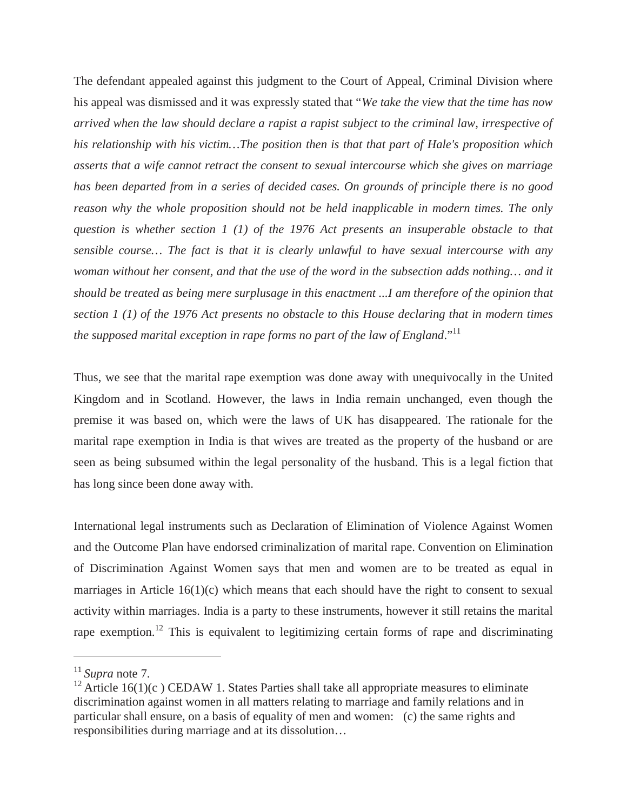The defendant appealed against this judgment to the Court of Appeal, Criminal Division where his appeal was dismissed and it was expressly stated that "*We take the view that the time has now arrived when the law should declare a rapist a rapist subject to the criminal law, irrespective of his relationship with his victim…The position then is that that part of Hale's proposition which asserts that a wife cannot retract the consent to sexual intercourse which she gives on marriage has been departed from in a series of decided cases. On grounds of principle there is no good reason why the whole proposition should not be held inapplicable in modern times. The only question is whether section 1 (1) of the 1976 Act presents an insuperable obstacle to that sensible course… The fact is that it is clearly unlawful to have sexual intercourse with any woman without her consent, and that the use of the word in the subsection adds nothing… and it should be treated as being mere surplusage in this enactment ...I am therefore of the opinion that section 1 (1) of the 1976 Act presents no obstacle to this House declaring that in modern times the supposed marital exception in rape forms no part of the law of England.*"<sup>11</sup>

Thus, we see that the marital rape exemption was done away with unequivocally in the United Kingdom and in Scotland. However, the laws in India remain unchanged, even though the premise it was based on, which were the laws of UK has disappeared. The rationale for the marital rape exemption in India is that wives are treated as the property of the husband or are seen as being subsumed within the legal personality of the husband. This is a legal fiction that has long since been done away with.

International legal instruments such as Declaration of Elimination of Violence Against Women and the Outcome Plan have endorsed criminalization of marital rape. Convention on Elimination of Discrimination Against Women says that men and women are to be treated as equal in marriages in Article  $16(1)(c)$  which means that each should have the right to consent to sexual activity within marriages. India is a party to these instruments, however it still retains the marital rape exemption.<sup>12</sup> This is equivalent to legitimizing certain forms of rape and discriminating

 $11$  *Supra* note 7.

<sup>&</sup>lt;sup>12</sup> Article 16(1)(c) CEDAW 1. States Parties shall take all appropriate measures to eliminate discrimination against women in all matters relating to marriage and family relations and in particular shall ensure, on a basis of equality of men and women: (c) the same rights and responsibilities during marriage and at its dissolution…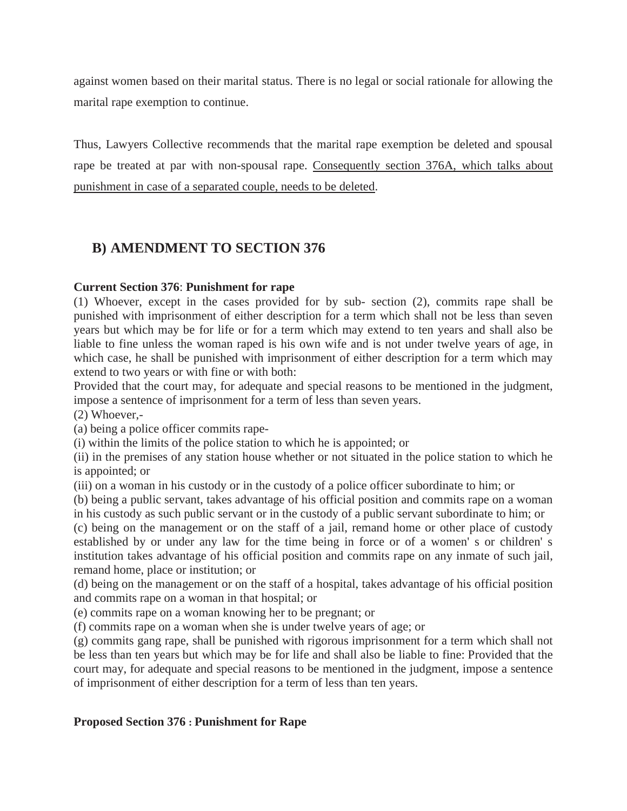against women based on their marital status. There is no legal or social rationale for allowing the marital rape exemption to continue.

Thus, Lawyers Collective recommends that the marital rape exemption be deleted and spousal rape be treated at par with non-spousal rape. Consequently section 376A, which talks about punishment in case of a separated couple, needs to be deleted.

## **B) AMENDMENT TO SECTION 376**

#### **Current Section 376**: **Punishment for rape**

(1) Whoever, except in the cases provided for by sub- section (2), commits rape shall be punished with imprisonment of either description for a term which shall not be less than seven years but which may be for life or for a term which may extend to ten years and shall also be liable to fine unless the woman raped is his own wife and is not under twelve years of age, in which case, he shall be punished with imprisonment of either description for a term which may extend to two years or with fine or with both:

Provided that the court may, for adequate and special reasons to be mentioned in the judgment, impose a sentence of imprisonment for a term of less than seven years.

(2) Whoever,-

(a) being a police officer commits rape-

(i) within the limits of the police station to which he is appointed; or

(ii) in the premises of any station house whether or not situated in the police station to which he is appointed; or

(iii) on a woman in his custody or in the custody of a police officer subordinate to him; or

(b) being a public servant, takes advantage of his official position and commits rape on a woman in his custody as such public servant or in the custody of a public servant subordinate to him; or

(c) being on the management or on the staff of a jail, remand home or other place of custody established by or under any law for the time being in force or of a women' s or children' s institution takes advantage of his official position and commits rape on any inmate of such jail, remand home, place or institution; or

(d) being on the management or on the staff of a hospital, takes advantage of his official position and commits rape on a woman in that hospital; or

(e) commits rape on a woman knowing her to be pregnant; or

(f) commits rape on a woman when she is under twelve years of age; or

(g) commits gang rape, shall be punished with rigorous imprisonment for a term which shall not be less than ten years but which may be for life and shall also be liable to fine: Provided that the court may, for adequate and special reasons to be mentioned in the judgment, impose a sentence of imprisonment of either description for a term of less than ten years.

#### **Proposed Section 376 : Punishment for Rape**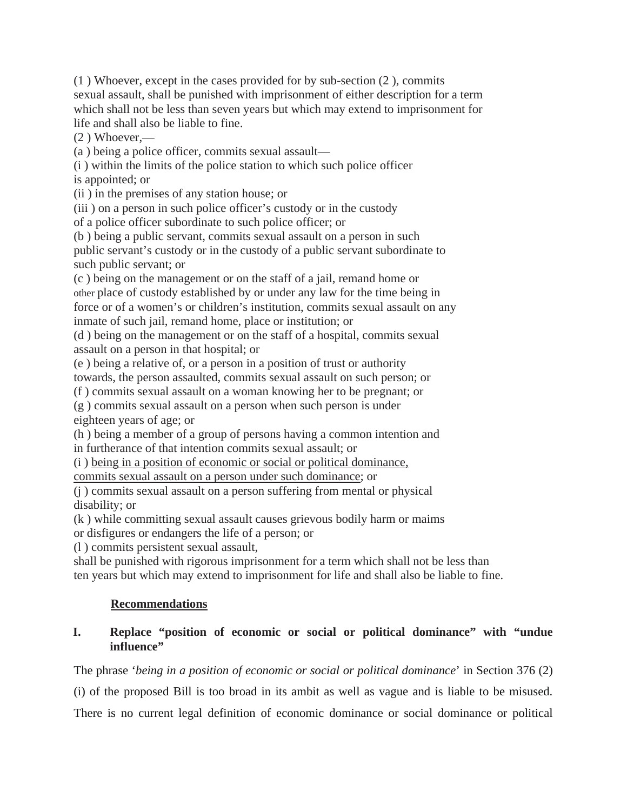(1 ) Whoever, except in the cases provided for by sub-section (2 ), commits sexual assault, shall be punished with imprisonment of either description for a term which shall not be less than seven years but which may extend to imprisonment for life and shall also be liable to fine.

(2 ) Whoever,—

(a ) being a police officer, commits sexual assault—

(i ) within the limits of the police station to which such police officer is appointed; or

(ii ) in the premises of any station house; or

(iii ) on a person in such police officer's custody or in the custody

of a police officer subordinate to such police officer; or

(b ) being a public servant, commits sexual assault on a person in such public servant's custody or in the custody of a public servant subordinate to such public servant; or

(c ) being on the management or on the staff of a jail, remand home or other place of custody established by or under any law for the time being in force or of a women's or children's institution, commits sexual assault on any inmate of such jail, remand home, place or institution; or

(d ) being on the management or on the staff of a hospital, commits sexual assault on a person in that hospital; or

(e ) being a relative of, or a person in a position of trust or authority towards, the person assaulted, commits sexual assault on such person; or

(f ) commits sexual assault on a woman knowing her to be pregnant; or

(g ) commits sexual assault on a person when such person is under eighteen years of age; or

(h ) being a member of a group of persons having a common intention and in furtherance of that intention commits sexual assault; or

(i ) being in a position of economic or social or political dominance,

commits sexual assault on a person under such dominance; or

(j ) commits sexual assault on a person suffering from mental or physical disability; or

(k ) while committing sexual assault causes grievous bodily harm or maims or disfigures or endangers the life of a person; or

(l ) commits persistent sexual assault,

shall be punished with rigorous imprisonment for a term which shall not be less than ten years but which may extend to imprisonment for life and shall also be liable to fine.

### **Recommendations**

### **I. Replace "position of economic or social or political dominance" with "undue influence"**

The phrase '*being in a position of economic or social or political dominance*' in Section 376 (2)

(i) of the proposed Bill is too broad in its ambit as well as vague and is liable to be misused.

There is no current legal definition of economic dominance or social dominance or political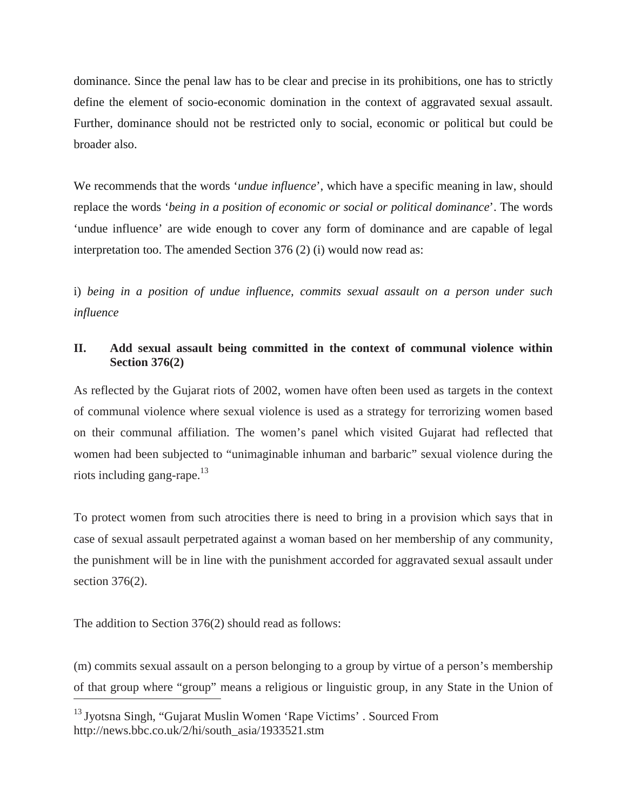dominance. Since the penal law has to be clear and precise in its prohibitions, one has to strictly define the element of socio-economic domination in the context of aggravated sexual assault. Further, dominance should not be restricted only to social, economic or political but could be broader also.

We recommends that the words *'undue influence'*, which have a specific meaning in law, should replace the words '*being in a position of economic or social or political dominance*'. The words 'undue influence' are wide enough to cover any form of dominance and are capable of legal interpretation too. The amended Section 376 (2) (i) would now read as:

i) *being in a position of undue influence, commits sexual assault on a person under such influence*

#### **II. Add sexual assault being committed in the context of communal violence within Section 376(2)**

As reflected by the Gujarat riots of 2002, women have often been used as targets in the context of communal violence where sexual violence is used as a strategy for terrorizing women based on their communal affiliation. The women's panel which visited Gujarat had reflected that women had been subjected to "unimaginable inhuman and barbaric" sexual violence during the riots including gang-rape. $13$ 

To protect women from such atrocities there is need to bring in a provision which says that in case of sexual assault perpetrated against a woman based on her membership of any community, the punishment will be in line with the punishment accorded for aggravated sexual assault under section 376(2).

The addition to Section 376(2) should read as follows:

(m) commits sexual assault on a person belonging to a group by virtue of a person's membership of that group where "group" means a religious or linguistic group, in any State in the Union of

<sup>13</sup> Jyotsna Singh, "Gujarat Muslin Women 'Rape Victims' . Sourced From http://news.bbc.co.uk/2/hi/south\_asia/1933521.stm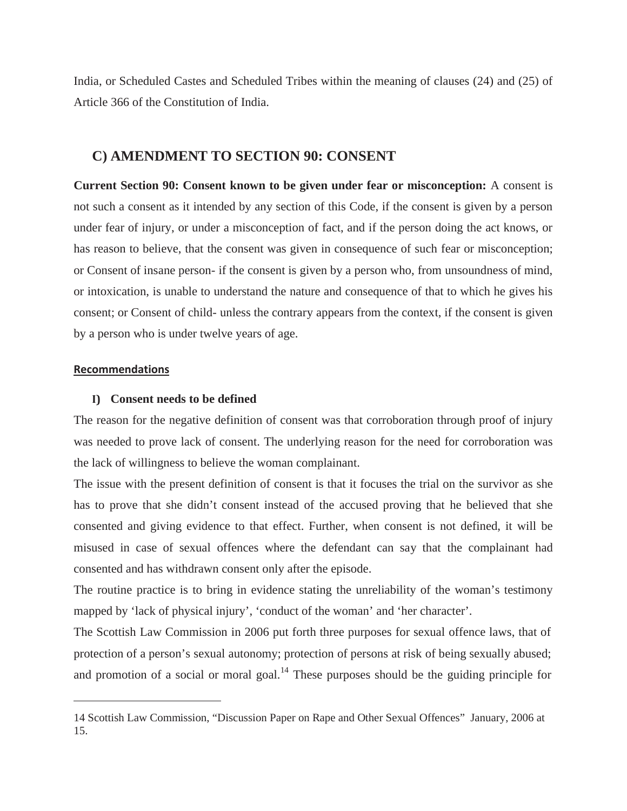India, or Scheduled Castes and Scheduled Tribes within the meaning of clauses (24) and (25) of Article 366 of the Constitution of India.

#### **C) AMENDMENT TO SECTION 90: CONSENT**

**Current Section 90: Consent known to be given under fear or misconception:** A consent is not such a consent as it intended by any section of this Code, if the consent is given by a person under fear of injury, or under a misconception of fact, and if the person doing the act knows, or has reason to believe, that the consent was given in consequence of such fear or misconception; or Consent of insane person- if the consent is given by a person who, from unsoundness of mind, or intoxication, is unable to understand the nature and consequence of that to which he gives his consent; or Consent of child- unless the contrary appears from the context, if the consent is given by a person who is under twelve years of age.

#### **Recommendations**

#### **I) Consent needs to be defined**

The reason for the negative definition of consent was that corroboration through proof of injury was needed to prove lack of consent. The underlying reason for the need for corroboration was the lack of willingness to believe the woman complainant.

The issue with the present definition of consent is that it focuses the trial on the survivor as she has to prove that she didn't consent instead of the accused proving that he believed that she consented and giving evidence to that effect. Further, when consent is not defined, it will be misused in case of sexual offences where the defendant can say that the complainant had consented and has withdrawn consent only after the episode.

The routine practice is to bring in evidence stating the unreliability of the woman's testimony mapped by 'lack of physical injury', 'conduct of the woman' and 'her character'.

The Scottish Law Commission in 2006 put forth three purposes for sexual offence laws, that of protection of a person's sexual autonomy; protection of persons at risk of being sexually abused; and promotion of a social or moral goal.<sup>14</sup> These purposes should be the guiding principle for

<sup>14</sup> Scottish Law Commission, "Discussion Paper on Rape and Other Sexual Offences" January, 2006 at 15.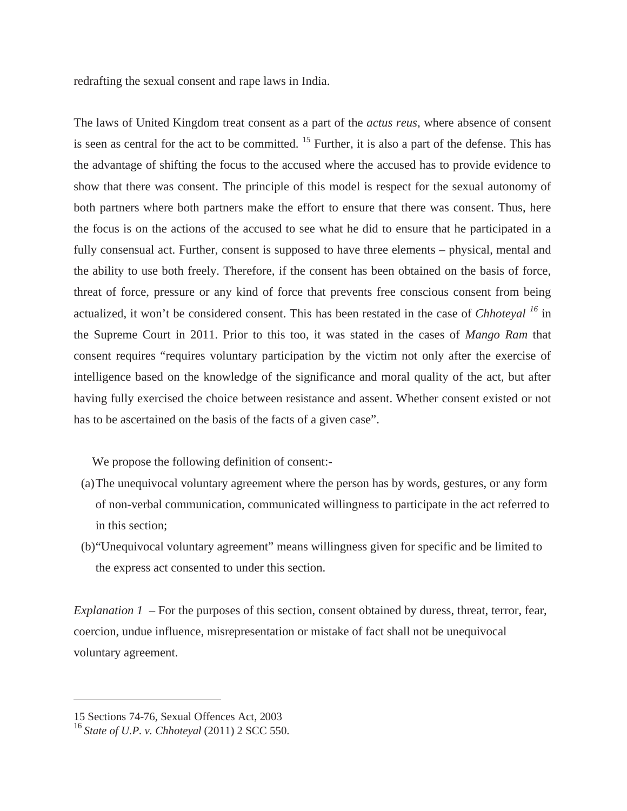redrafting the sexual consent and rape laws in India.

The laws of United Kingdom treat consent as a part of the *actus reus*, where absence of consent is seen as central for the act to be committed. <sup>15</sup> Further, it is also a part of the defense. This has the advantage of shifting the focus to the accused where the accused has to provide evidence to show that there was consent. The principle of this model is respect for the sexual autonomy of both partners where both partners make the effort to ensure that there was consent. Thus, here the focus is on the actions of the accused to see what he did to ensure that he participated in a fully consensual act. Further, consent is supposed to have three elements – physical, mental and the ability to use both freely. Therefore, if the consent has been obtained on the basis of force, threat of force, pressure or any kind of force that prevents free conscious consent from being actualized, it won't be considered consent. This has been restated in the case of *Chhoteyal <sup>16</sup>* in the Supreme Court in 2011. Prior to this too, it was stated in the cases of *Mango Ram* that consent requires "requires voluntary participation by the victim not only after the exercise of intelligence based on the knowledge of the significance and moral quality of the act, but after having fully exercised the choice between resistance and assent. Whether consent existed or not has to be ascertained on the basis of the facts of a given case".

We propose the following definition of consent:-

- (a)The unequivocal voluntary agreement where the person has by words, gestures, or any form of non-verbal communication, communicated willingness to participate in the act referred to in this section;
- (b)"Unequivocal voluntary agreement" means willingness given for specific and be limited to the express act consented to under this section.

*Explanation 1 –* For the purposes of this section, consent obtained by duress, threat, terror, fear, coercion, undue influence, misrepresentation or mistake of fact shall not be unequivocal voluntary agreement.

<sup>15</sup> Sections 74-76, Sexual Offences Act, 2003

<sup>16</sup> *State of U.P. v. Chhoteyal* (2011) 2 SCC 550.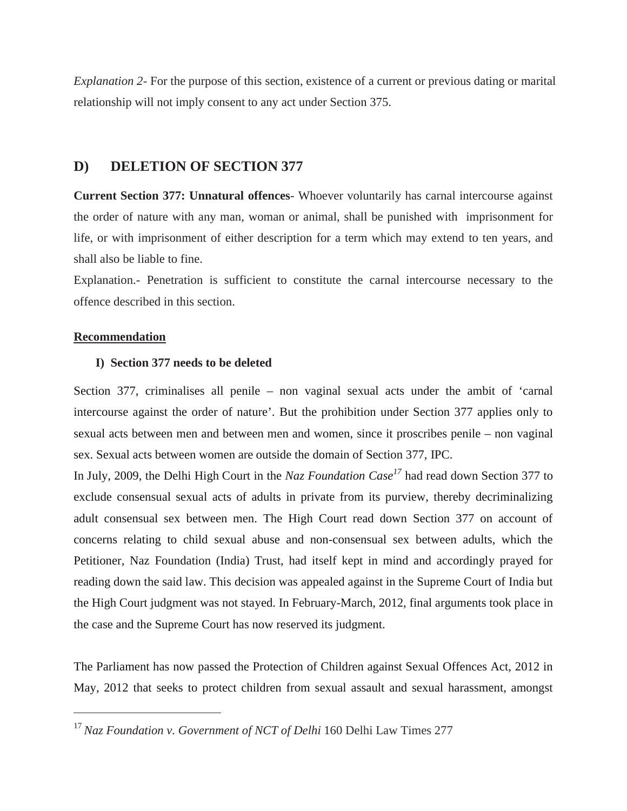*Explanation 2*- For the purpose of this section, existence of a current or previous dating or marital relationship will not imply consent to any act under Section 375.

#### **D) DELETION OF SECTION 377**

**Current Section 377: Unnatural offences**- Whoever voluntarily has carnal intercourse against the order of nature with any man, woman or animal, shall be punished with imprisonment for life, or with imprisonment of either description for a term which may extend to ten years, and shall also be liable to fine.

Explanation.- Penetration is sufficient to constitute the carnal intercourse necessary to the offence described in this section.

#### **Recommendation**

#### **I) Section 377 needs to be deleted**

Section 377, criminalises all penile – non vaginal sexual acts under the ambit of 'carnal intercourse against the order of nature'. But the prohibition under Section 377 applies only to sexual acts between men and between men and women, since it proscribes penile – non vaginal sex. Sexual acts between women are outside the domain of Section 377, IPC.

In July, 2009, the Delhi High Court in the *Naz Foundation Case<sup>17</sup>* had read down Section 377 to exclude consensual sexual acts of adults in private from its purview, thereby decriminalizing adult consensual sex between men. The High Court read down Section 377 on account of concerns relating to child sexual abuse and non-consensual sex between adults, which the Petitioner, Naz Foundation (India) Trust, had itself kept in mind and accordingly prayed for reading down the said law. This decision was appealed against in the Supreme Court of India but the High Court judgment was not stayed. In February-March, 2012, final arguments took place in the case and the Supreme Court has now reserved its judgment.

The Parliament has now passed the Protection of Children against Sexual Offences Act, 2012 in May, 2012 that seeks to protect children from sexual assault and sexual harassment, amongst

<sup>17</sup> *Naz Foundation v. Government of NCT of Delhi* 160 Delhi Law Times 277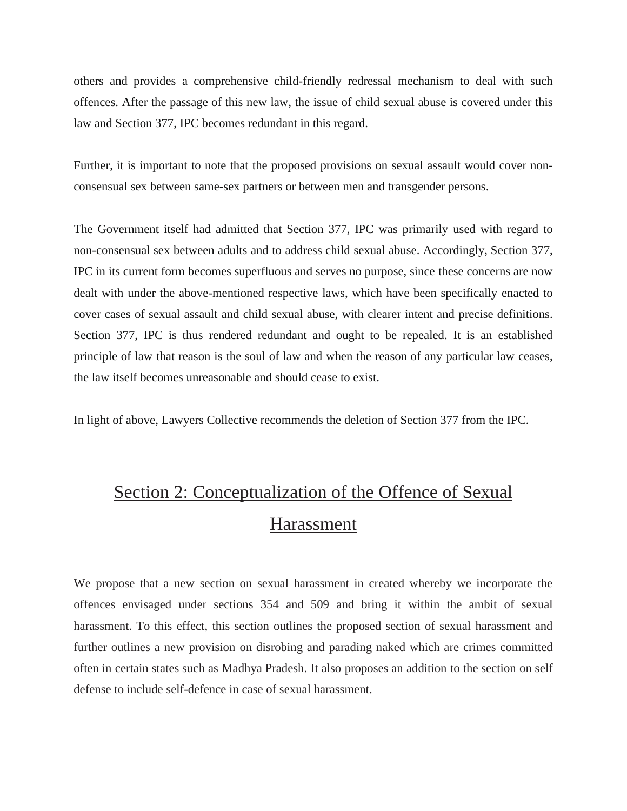others and provides a comprehensive child-friendly redressal mechanism to deal with such offences. After the passage of this new law, the issue of child sexual abuse is covered under this law and Section 377, IPC becomes redundant in this regard.

Further, it is important to note that the proposed provisions on sexual assault would cover nonconsensual sex between same-sex partners or between men and transgender persons.

The Government itself had admitted that Section 377, IPC was primarily used with regard to non-consensual sex between adults and to address child sexual abuse. Accordingly, Section 377, IPC in its current form becomes superfluous and serves no purpose, since these concerns are now dealt with under the above-mentioned respective laws, which have been specifically enacted to cover cases of sexual assault and child sexual abuse, with clearer intent and precise definitions. Section 377, IPC is thus rendered redundant and ought to be repealed. It is an established principle of law that reason is the soul of law and when the reason of any particular law ceases, the law itself becomes unreasonable and should cease to exist.

In light of above, Lawyers Collective recommends the deletion of Section 377 from the IPC.

# Section 2: Conceptualization of the Offence of Sexual Harassment

We propose that a new section on sexual harassment in created whereby we incorporate the offences envisaged under sections 354 and 509 and bring it within the ambit of sexual harassment. To this effect, this section outlines the proposed section of sexual harassment and further outlines a new provision on disrobing and parading naked which are crimes committed often in certain states such as Madhya Pradesh. It also proposes an addition to the section on self defense to include self-defence in case of sexual harassment.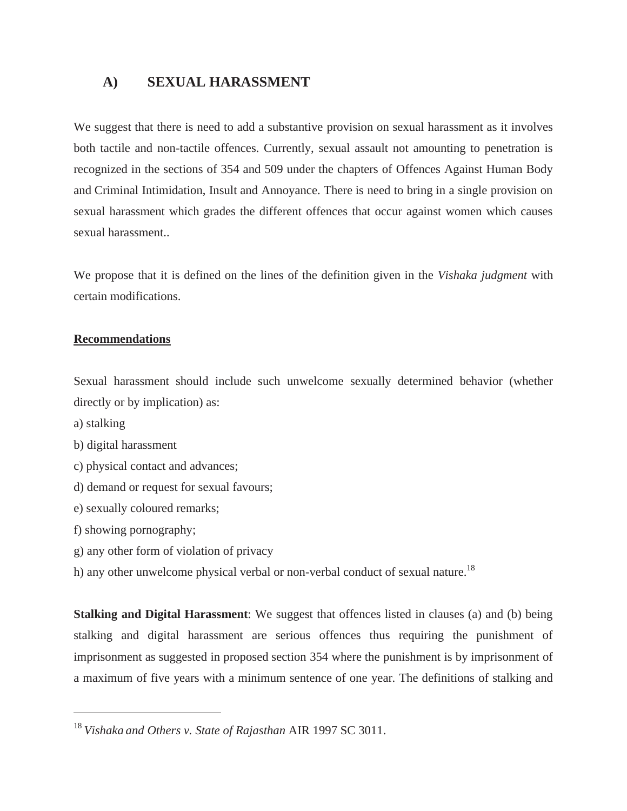## **A) SEXUAL HARASSMENT**

We suggest that there is need to add a substantive provision on sexual harassment as it involves both tactile and non-tactile offences. Currently, sexual assault not amounting to penetration is recognized in the sections of 354 and 509 under the chapters of Offences Against Human Body and Criminal Intimidation, Insult and Annoyance. There is need to bring in a single provision on sexual harassment which grades the different offences that occur against women which causes sexual harassment..

We propose that it is defined on the lines of the definition given in the *Vishaka judgment* with certain modifications.

#### **Recommendations**

Sexual harassment should include such unwelcome sexually determined behavior (whether directly or by implication) as:

- a) stalking
- b) digital harassment
- c) physical contact and advances;
- d) demand or request for sexual favours;
- e) sexually coloured remarks;
- f) showing pornography;
- g) any other form of violation of privacy
- h) any other unwelcome physical verbal or non-verbal conduct of sexual nature.<sup>18</sup>

**Stalking and Digital Harassment**: We suggest that offences listed in clauses (a) and (b) being stalking and digital harassment are serious offences thus requiring the punishment of imprisonment as suggested in proposed section 354 where the punishment is by imprisonment of a maximum of five years with a minimum sentence of one year. The definitions of stalking and

<sup>18</sup> *Vishaka and Others v. State of Rajasthan* AIR 1997 SC 3011.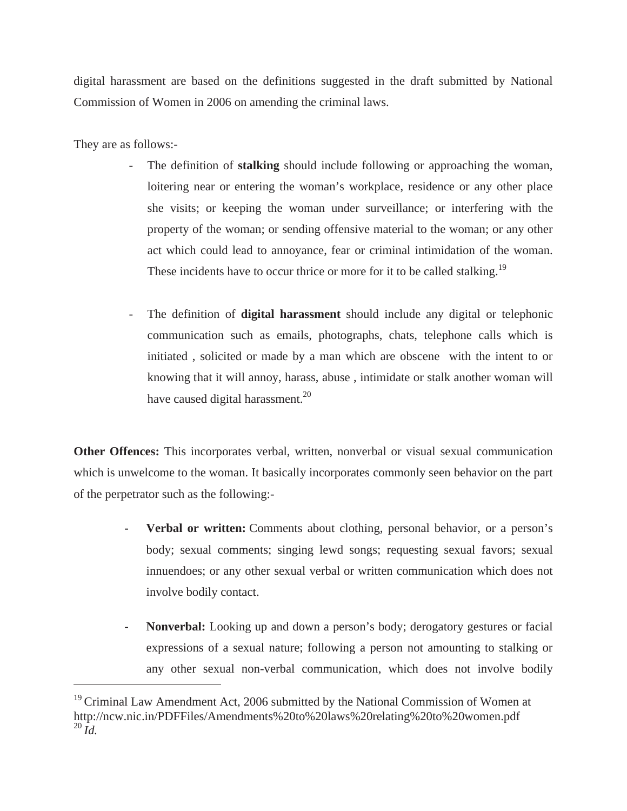digital harassment are based on the definitions suggested in the draft submitted by National Commission of Women in 2006 on amending the criminal laws.

They are as follows:-

- The definition of **stalking** should include following or approaching the woman, loitering near or entering the woman's workplace, residence or any other place she visits; or keeping the woman under surveillance; or interfering with the property of the woman; or sending offensive material to the woman; or any other act which could lead to annoyance, fear or criminal intimidation of the woman. These incidents have to occur thrice or more for it to be called stalking.<sup>19</sup>
- The definition of **digital harassment** should include any digital or telephonic communication such as emails, photographs, chats, telephone calls which is initiated , solicited or made by a man which are obscene with the intent to or knowing that it will annoy, harass, abuse , intimidate or stalk another woman will have caused digital harassment. $^{20}$

**Other Offences:** This incorporates verbal, written, nonverbal or visual sexual communication which is unwelcome to the woman. It basically incorporates commonly seen behavior on the part of the perpetrator such as the following:-

- **Verbal or written:** Comments about clothing, personal behavior, or a person's body; sexual comments; singing lewd songs; requesting sexual favors; sexual innuendoes; or any other sexual verbal or written communication which does not involve bodily contact.
- **Nonverbal:** Looking up and down a person's body; derogatory gestures or facial expressions of a sexual nature; following a person not amounting to stalking or any other sexual non-verbal communication, which does not involve bodily

 $19$  Criminal Law Amendment Act, 2006 submitted by the National Commission of Women at http://ncw.nic.in/PDFFiles/Amendments%20to%20laws%20relating%20to%20women.pdf  $^{20}$   $\tilde{I}$ *d*.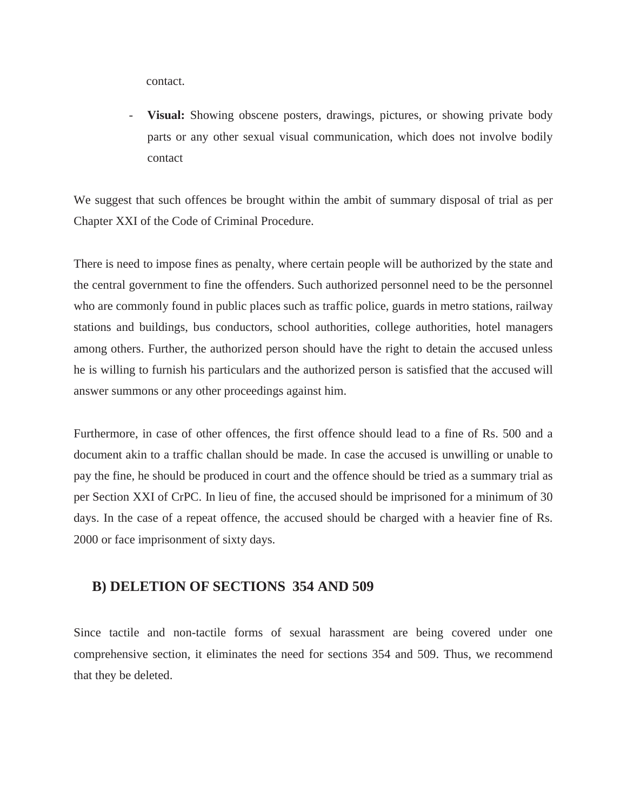contact.

**Visual:** Showing obscene posters, drawings, pictures, or showing private body parts or any other sexual visual communication, which does not involve bodily contact

We suggest that such offences be brought within the ambit of summary disposal of trial as per Chapter XXI of the Code of Criminal Procedure.

There is need to impose fines as penalty, where certain people will be authorized by the state and the central government to fine the offenders. Such authorized personnel need to be the personnel who are commonly found in public places such as traffic police, guards in metro stations, railway stations and buildings, bus conductors, school authorities, college authorities, hotel managers among others. Further, the authorized person should have the right to detain the accused unless he is willing to furnish his particulars and the authorized person is satisfied that the accused will answer summons or any other proceedings against him.

Furthermore, in case of other offences, the first offence should lead to a fine of Rs. 500 and a document akin to a traffic challan should be made. In case the accused is unwilling or unable to pay the fine, he should be produced in court and the offence should be tried as a summary trial as per Section XXI of CrPC. In lieu of fine, the accused should be imprisoned for a minimum of 30 days. In the case of a repeat offence, the accused should be charged with a heavier fine of Rs. 2000 or face imprisonment of sixty days.

#### **B) DELETION OF SECTIONS 354 AND 509**

Since tactile and non-tactile forms of sexual harassment are being covered under one comprehensive section, it eliminates the need for sections 354 and 509. Thus, we recommend that they be deleted.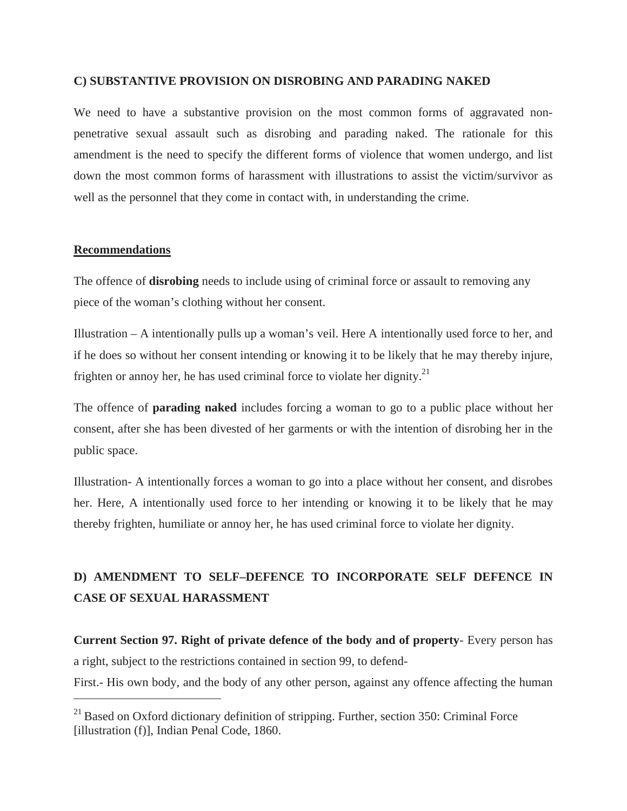#### **C) SUBSTANTIVE PROVISION ON DISROBING AND PARADING NAKED**

We need to have a substantive provision on the most common forms of aggravated nonpenetrative sexual assault such as disrobing and parading naked. The rationale for this amendment is the need to specify the different forms of violence that women undergo, and list down the most common forms of harassment with illustrations to assist the victim/survivor as well as the personnel that they come in contact with, in understanding the crime.

#### **Recommendations**

The offence of **disrobing** needs to include using of criminal force or assault to removing any piece of the woman's clothing without her consent.

Illustration – A intentionally pulls up a woman's veil. Here A intentionally used force to her, and if he does so without her consent intending or knowing it to be likely that he may thereby injure, frighten or annoy her, he has used criminal force to violate her dignity.<sup>21</sup>

The offence of **parading naked** includes forcing a woman to go to a public place without her consent, after she has been divested of her garments or with the intention of disrobing her in the public space.

Illustration- A intentionally forces a woman to go into a place without her consent, and disrobes her. Here, A intentionally used force to her intending or knowing it to be likely that he may thereby frighten, humiliate or annoy her, he has used criminal force to violate her dignity.

## **D) AMENDMENT TO SELF–DEFENCE TO INCORPORATE SELF DEFENCE IN CASE OF SEXUAL HARASSMENT**

**Current Section 97. Right of private defence of the body and of property**- Every person has a right, subject to the restrictions contained in section 99, to defend-First.- His own body, and the body of any other person, against any offence affecting the human

 $^{21}$  Based on Oxford dictionary definition of stripping. Further, section 350: Criminal Force [illustration (f)], Indian Penal Code, 1860.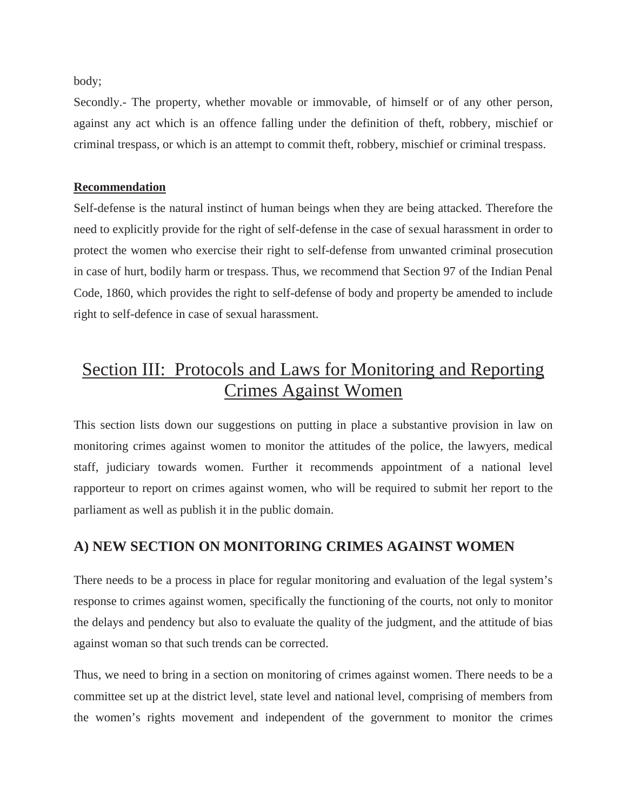body;

Secondly.- The property, whether movable or immovable, of himself or of any other person, against any act which is an offence falling under the definition of theft, robbery, mischief or criminal trespass, or which is an attempt to commit theft, robbery, mischief or criminal trespass.

#### **Recommendation**

Self-defense is the natural instinct of human beings when they are being attacked. Therefore the need to explicitly provide for the right of self-defense in the case of sexual harassment in order to protect the women who exercise their right to self-defense from unwanted criminal prosecution in case of hurt, bodily harm or trespass. Thus, we recommend that Section 97 of the Indian Penal Code, 1860, which provides the right to self-defense of body and property be amended to include right to self-defence in case of sexual harassment.

## Section III: Protocols and Laws for Monitoring and Reporting Crimes Against Women

This section lists down our suggestions on putting in place a substantive provision in law on monitoring crimes against women to monitor the attitudes of the police, the lawyers, medical staff, judiciary towards women. Further it recommends appointment of a national level rapporteur to report on crimes against women, who will be required to submit her report to the parliament as well as publish it in the public domain.

### **A) NEW SECTION ON MONITORING CRIMES AGAINST WOMEN**

There needs to be a process in place for regular monitoring and evaluation of the legal system's response to crimes against women, specifically the functioning of the courts, not only to monitor the delays and pendency but also to evaluate the quality of the judgment, and the attitude of bias against woman so that such trends can be corrected.

Thus, we need to bring in a section on monitoring of crimes against women. There needs to be a committee set up at the district level, state level and national level, comprising of members from the women's rights movement and independent of the government to monitor the crimes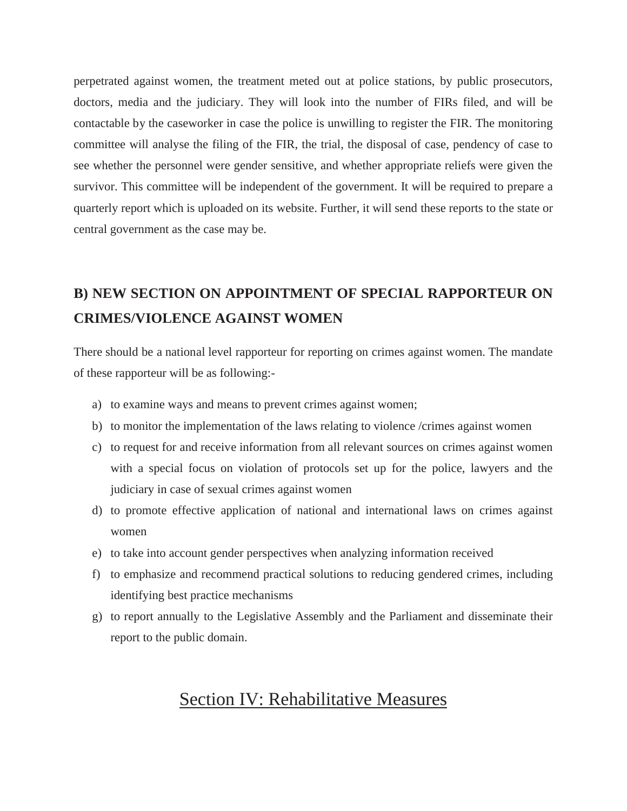perpetrated against women, the treatment meted out at police stations, by public prosecutors, doctors, media and the judiciary. They will look into the number of FIRs filed, and will be contactable by the caseworker in case the police is unwilling to register the FIR. The monitoring committee will analyse the filing of the FIR, the trial, the disposal of case, pendency of case to see whether the personnel were gender sensitive, and whether appropriate reliefs were given the survivor. This committee will be independent of the government. It will be required to prepare a quarterly report which is uploaded on its website. Further, it will send these reports to the state or central government as the case may be.

## **B) NEW SECTION ON APPOINTMENT OF SPECIAL RAPPORTEUR ON CRIMES/VIOLENCE AGAINST WOMEN**

There should be a national level rapporteur for reporting on crimes against women. The mandate of these rapporteur will be as following:-

- a) to examine ways and means to prevent crimes against women;
- b) to monitor the implementation of the laws relating to violence /crimes against women
- c) to request for and receive information from all relevant sources on crimes against women with a special focus on violation of protocols set up for the police, lawyers and the judiciary in case of sexual crimes against women
- d) to promote effective application of national and international laws on crimes against women
- e) to take into account gender perspectives when analyzing information received
- f) to emphasize and recommend practical solutions to reducing gendered crimes, including identifying best practice mechanisms
- g) to report annually to the Legislative Assembly and the Parliament and disseminate their report to the public domain.

## Section IV: Rehabilitative Measures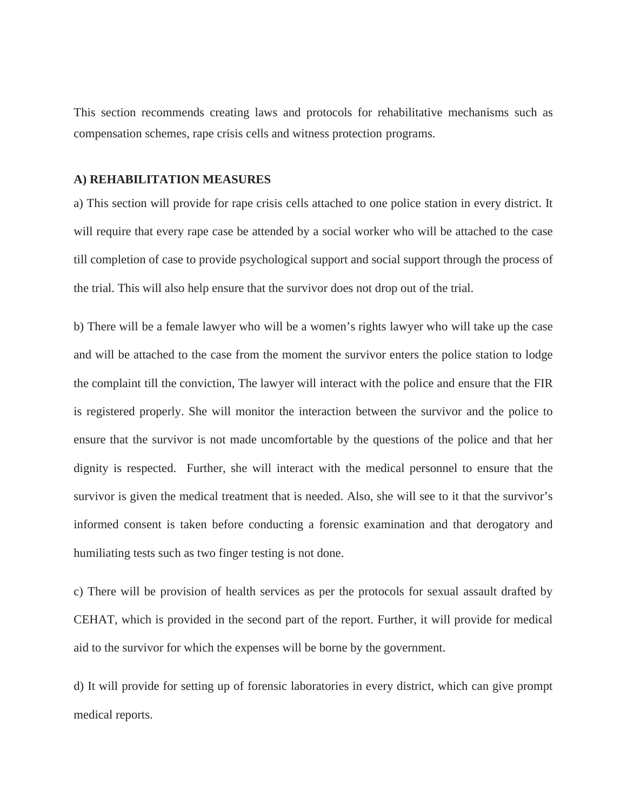This section recommends creating laws and protocols for rehabilitative mechanisms such as compensation schemes, rape crisis cells and witness protection programs.

#### **A) REHABILITATION MEASURES**

a) This section will provide for rape crisis cells attached to one police station in every district. It will require that every rape case be attended by a social worker who will be attached to the case till completion of case to provide psychological support and social support through the process of the trial. This will also help ensure that the survivor does not drop out of the trial.

b) There will be a female lawyer who will be a women's rights lawyer who will take up the case and will be attached to the case from the moment the survivor enters the police station to lodge the complaint till the conviction, The lawyer will interact with the police and ensure that the FIR is registered properly. She will monitor the interaction between the survivor and the police to ensure that the survivor is not made uncomfortable by the questions of the police and that her dignity is respected. Further, she will interact with the medical personnel to ensure that the survivor is given the medical treatment that is needed. Also, she will see to it that the survivor's informed consent is taken before conducting a forensic examination and that derogatory and humiliating tests such as two finger testing is not done.

c) There will be provision of health services as per the protocols for sexual assault drafted by CEHAT, which is provided in the second part of the report. Further, it will provide for medical aid to the survivor for which the expenses will be borne by the government.

d) It will provide for setting up of forensic laboratories in every district, which can give prompt medical reports.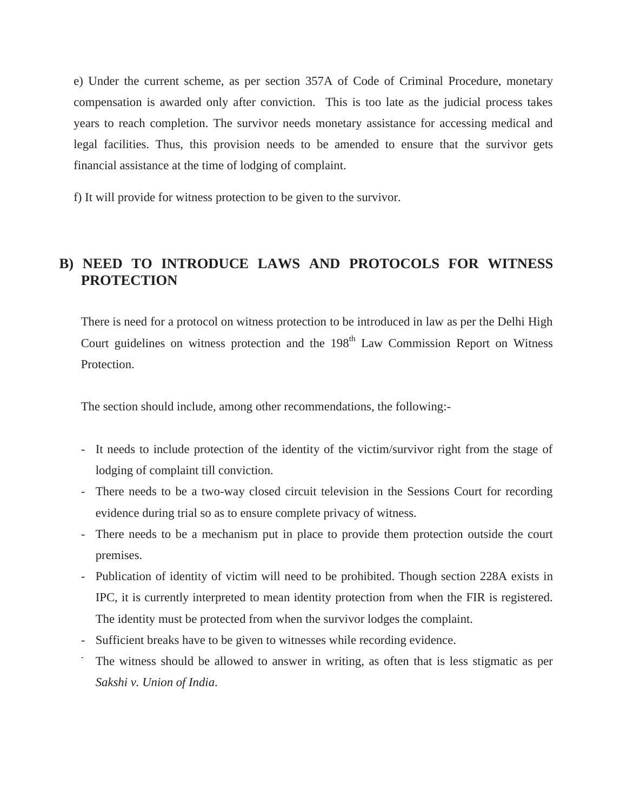e) Under the current scheme, as per section 357A of Code of Criminal Procedure, monetary compensation is awarded only after conviction. This is too late as the judicial process takes years to reach completion. The survivor needs monetary assistance for accessing medical and legal facilities. Thus, this provision needs to be amended to ensure that the survivor gets financial assistance at the time of lodging of complaint.

f) It will provide for witness protection to be given to the survivor.

## **B) NEED TO INTRODUCE LAWS AND PROTOCOLS FOR WITNESS PROTECTION**

There is need for a protocol on witness protection to be introduced in law as per the Delhi High Court guidelines on witness protection and the  $198<sup>th</sup>$  Law Commission Report on Witness Protection.

The section should include, among other recommendations, the following:-

- It needs to include protection of the identity of the victim/survivor right from the stage of lodging of complaint till conviction.
- There needs to be a two-way closed circuit television in the Sessions Court for recording evidence during trial so as to ensure complete privacy of witness.
- There needs to be a mechanism put in place to provide them protection outside the court premises.
- Publication of identity of victim will need to be prohibited. Though section 228A exists in IPC, it is currently interpreted to mean identity protection from when the FIR is registered. The identity must be protected from when the survivor lodges the complaint.
- Sufficient breaks have to be given to witnesses while recording evidence.
- The witness should be allowed to answer in writing, as often that is less stigmatic as per *Sakshi v. Union of India*.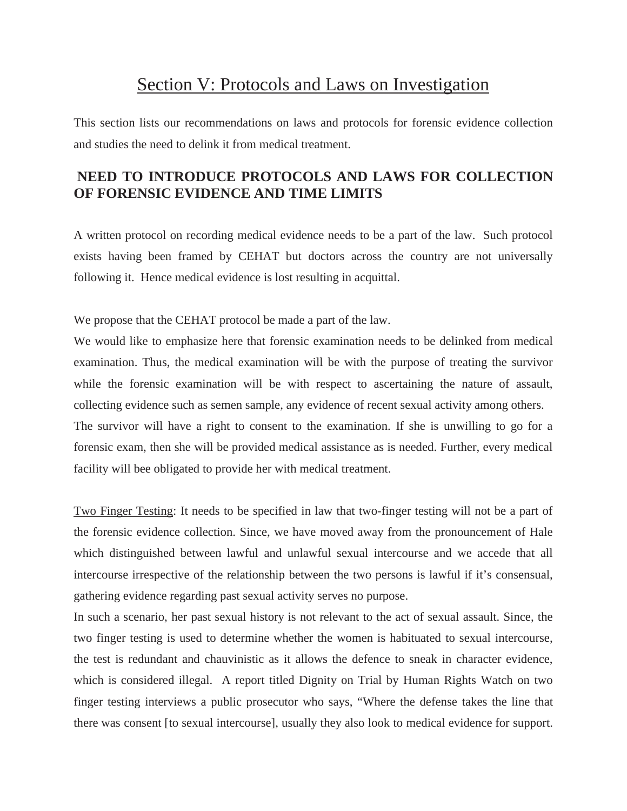## Section V: Protocols and Laws on Investigation

This section lists our recommendations on laws and protocols for forensic evidence collection and studies the need to delink it from medical treatment.

## **NEED TO INTRODUCE PROTOCOLS AND LAWS FOR COLLECTION OF FORENSIC EVIDENCE AND TIME LIMITS**

A written protocol on recording medical evidence needs to be a part of the law. Such protocol exists having been framed by CEHAT but doctors across the country are not universally following it. Hence medical evidence is lost resulting in acquittal.

We propose that the CEHAT protocol be made a part of the law.

We would like to emphasize here that forensic examination needs to be delinked from medical examination. Thus, the medical examination will be with the purpose of treating the survivor while the forensic examination will be with respect to ascertaining the nature of assault, collecting evidence such as semen sample, any evidence of recent sexual activity among others. The survivor will have a right to consent to the examination. If she is unwilling to go for a forensic exam, then she will be provided medical assistance as is needed. Further, every medical facility will bee obligated to provide her with medical treatment.

Two Finger Testing: It needs to be specified in law that two-finger testing will not be a part of the forensic evidence collection. Since, we have moved away from the pronouncement of Hale which distinguished between lawful and unlawful sexual intercourse and we accede that all intercourse irrespective of the relationship between the two persons is lawful if it's consensual, gathering evidence regarding past sexual activity serves no purpose.

In such a scenario, her past sexual history is not relevant to the act of sexual assault. Since, the two finger testing is used to determine whether the women is habituated to sexual intercourse, the test is redundant and chauvinistic as it allows the defence to sneak in character evidence, which is considered illegal. A report titled Dignity on Trial by Human Rights Watch on two finger testing interviews a public prosecutor who says, "Where the defense takes the line that there was consent [to sexual intercourse], usually they also look to medical evidence for support.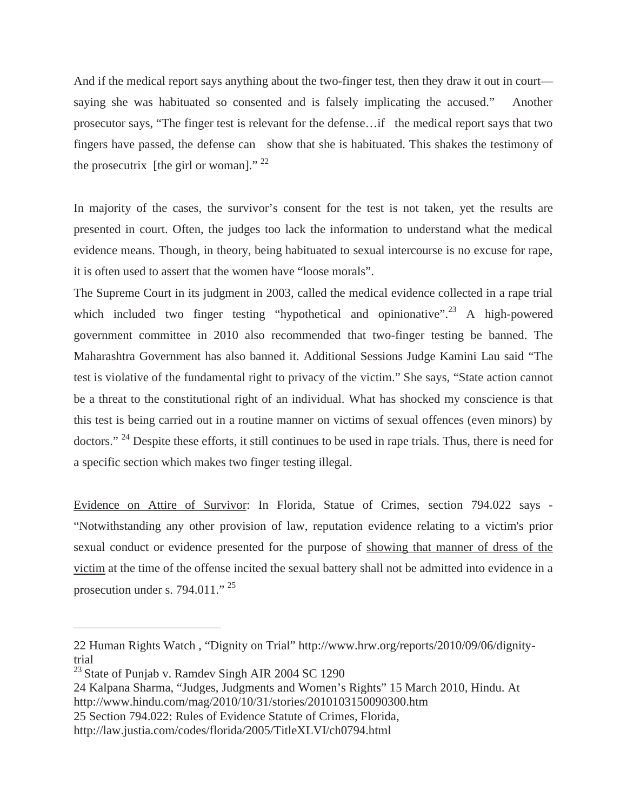And if the medical report says anything about the two-finger test, then they draw it out in court saying she was habituated so consented and is falsely implicating the accused." Another prosecutor says, "The finger test is relevant for the defense…if the medical report says that two fingers have passed, the defense can show that she is habituated. This shakes the testimony of the prosecutrix [the girl or woman]."  $^{22}$ 

In majority of the cases, the survivor's consent for the test is not taken, yet the results are presented in court. Often, the judges too lack the information to understand what the medical evidence means. Though, in theory, being habituated to sexual intercourse is no excuse for rape, it is often used to assert that the women have "loose morals".

The Supreme Court in its judgment in 2003, called the medical evidence collected in a rape trial which included two finger testing "hypothetical and opinionative".<sup>23</sup> A high-powered government committee in 2010 also recommended that two-finger testing be banned. The Maharashtra Government has also banned it. Additional Sessions Judge Kamini Lau said "The test is violative of the fundamental right to privacy of the victim." She says, "State action cannot be a threat to the constitutional right of an individual. What has shocked my conscience is that this test is being carried out in a routine manner on victims of sexual offences (even minors) by doctors." <sup>24</sup> Despite these efforts, it still continues to be used in rape trials. Thus, there is need for a specific section which makes two finger testing illegal.

Evidence on Attire of Survivor: In Florida, Statue of Crimes, section 794.022 says - "Notwithstanding any other provision of law, reputation evidence relating to a victim's prior sexual conduct or evidence presented for the purpose of showing that manner of dress of the victim at the time of the offense incited the sexual battery shall not be admitted into evidence in a prosecution under s. 794.011." <sup>25</sup>

25 Section 794.022: Rules of Evidence Statute of Crimes, Florida,

<sup>22</sup> Human Rights Watch , "Dignity on Trial" http://www.hrw.org/reports/2010/09/06/dignitytrial

<sup>&</sup>lt;sup>23</sup> State of Punjab v. Ramdev Singh AIR 2004 SC 1290

<sup>24</sup> Kalpana Sharma, "Judges, Judgments and Women's Rights" 15 March 2010, Hindu. At http://www.hindu.com/mag/2010/10/31/stories/2010103150090300.htm

http://law.justia.com/codes/florida/2005/TitleXLVI/ch0794.html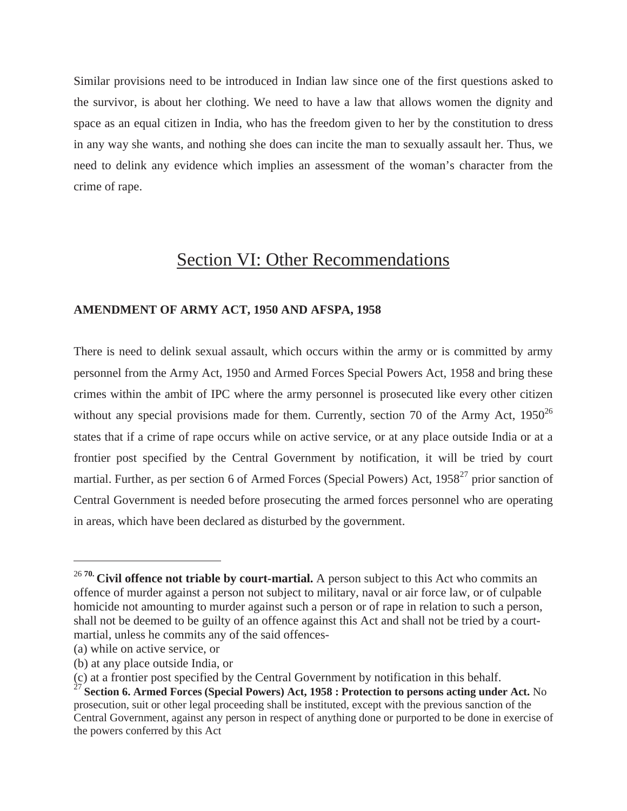Similar provisions need to be introduced in Indian law since one of the first questions asked to the survivor, is about her clothing. We need to have a law that allows women the dignity and space as an equal citizen in India, who has the freedom given to her by the constitution to dress in any way she wants, and nothing she does can incite the man to sexually assault her. Thus, we need to delink any evidence which implies an assessment of the woman's character from the crime of rape.

## Section VI: Other Recommendations

#### **AMENDMENT OF ARMY ACT, 1950 AND AFSPA, 1958**

There is need to delink sexual assault, which occurs within the army or is committed by army personnel from the Army Act, 1950 and Armed Forces Special Powers Act, 1958 and bring these crimes within the ambit of IPC where the army personnel is prosecuted like every other citizen without any special provisions made for them. Currently, section 70 of the Army Act,  $1950^{26}$ states that if a crime of rape occurs while on active service, or at any place outside India or at a frontier post specified by the Central Government by notification, it will be tried by court martial. Further, as per section 6 of Armed Forces (Special Powers) Act, 1958<sup>27</sup> prior sanction of Central Government is needed before prosecuting the armed forces personnel who are operating in areas, which have been declared as disturbed by the government.

<sup>&</sup>lt;sup>26 70</sup> Civil offence not triable by court-martial. A person subject to this Act who commits an offence of murder against a person not subject to military, naval or air force law, or of culpable homicide not amounting to murder against such a person or of rape in relation to such a person, shall not be deemed to be guilty of an offence against this Act and shall not be tried by a courtmartial, unless he commits any of the said offences-

<sup>(</sup>a) while on active service, or

<sup>(</sup>b) at any place outside India, or

<sup>(</sup>c) at a frontier post specified by the Central Government by notification in this behalf.

<sup>27</sup> **Section 6. Armed Forces (Special Powers) Act, 1958 : Protection to persons acting under Act.** No prosecution, suit or other legal proceeding shall be instituted, except with the previous sanction of the Central Government, against any person in respect of anything done or purported to be done in exercise of the powers conferred by this Act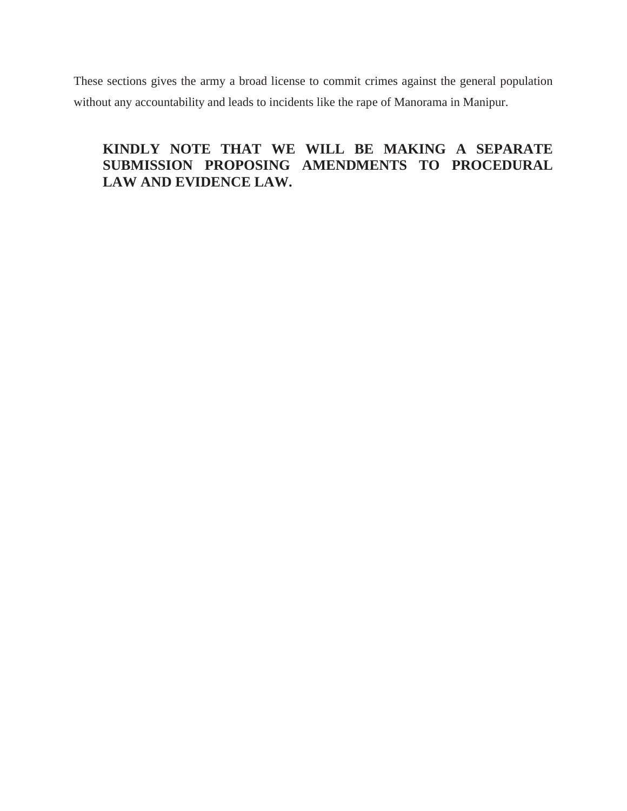These sections gives the army a broad license to commit crimes against the general population without any accountability and leads to incidents like the rape of Manorama in Manipur.

## **KINDLY NOTE THAT WE WILL BE MAKING A SEPARATE SUBMISSION PROPOSING AMENDMENTS TO PROCEDURAL LAW AND EVIDENCE LAW.**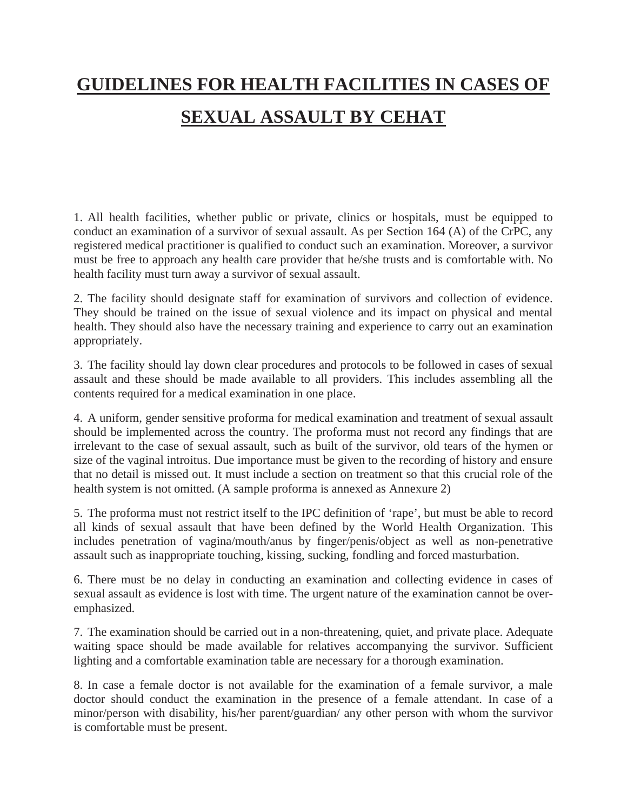# **GUIDELINES FOR HEALTH FACILITIES IN CASES OF SEXUAL ASSAULT BY CEHAT**

1. All health facilities, whether public or private, clinics or hospitals, must be equipped to conduct an examination of a survivor of sexual assault. As per Section 164 (A) of the CrPC, any registered medical practitioner is qualified to conduct such an examination. Moreover, a survivor must be free to approach any health care provider that he/she trusts and is comfortable with. No health facility must turn away a survivor of sexual assault.

2. The facility should designate staff for examination of survivors and collection of evidence. They should be trained on the issue of sexual violence and its impact on physical and mental health. They should also have the necessary training and experience to carry out an examination appropriately.

3. The facility should lay down clear procedures and protocols to be followed in cases of sexual assault and these should be made available to all providers. This includes assembling all the contents required for a medical examination in one place.

4. A uniform, gender sensitive proforma for medical examination and treatment of sexual assault should be implemented across the country. The proforma must not record any findings that are irrelevant to the case of sexual assault, such as built of the survivor, old tears of the hymen or size of the vaginal introitus. Due importance must be given to the recording of history and ensure that no detail is missed out. It must include a section on treatment so that this crucial role of the health system is not omitted. (A sample proforma is annexed as Annexure 2)

5. The proforma must not restrict itself to the IPC definition of 'rape', but must be able to record all kinds of sexual assault that have been defined by the World Health Organization. This includes penetration of vagina/mouth/anus by finger/penis/object as well as non-penetrative assault such as inappropriate touching, kissing, sucking, fondling and forced masturbation.

6. There must be no delay in conducting an examination and collecting evidence in cases of sexual assault as evidence is lost with time. The urgent nature of the examination cannot be overemphasized.

7. The examination should be carried out in a non-threatening, quiet, and private place. Adequate waiting space should be made available for relatives accompanying the survivor. Sufficient lighting and a comfortable examination table are necessary for a thorough examination.

8. In case a female doctor is not available for the examination of a female survivor, a male doctor should conduct the examination in the presence of a female attendant. In case of a minor/person with disability, his/her parent/guardian/ any other person with whom the survivor is comfortable must be present.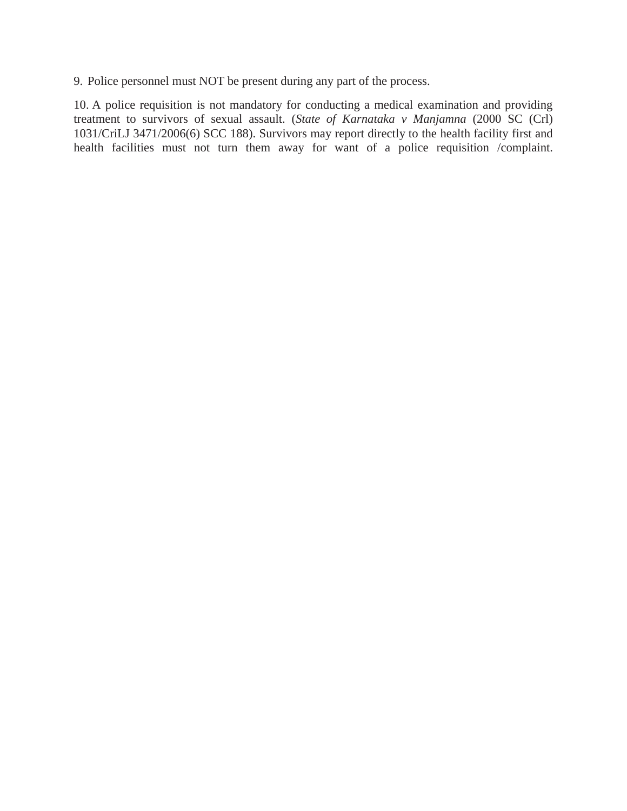9. Police personnel must NOT be present during any part of the process.

10. A police requisition is not mandatory for conducting a medical examination and providing treatment to survivors of sexual assault. (*State of Karnataka v Manjamna* (2000 SC (Crl) 1031/CriLJ 3471/2006(6) SCC 188). Survivors may report directly to the health facility first and health facilities must not turn them away for want of a police requisition /complaint.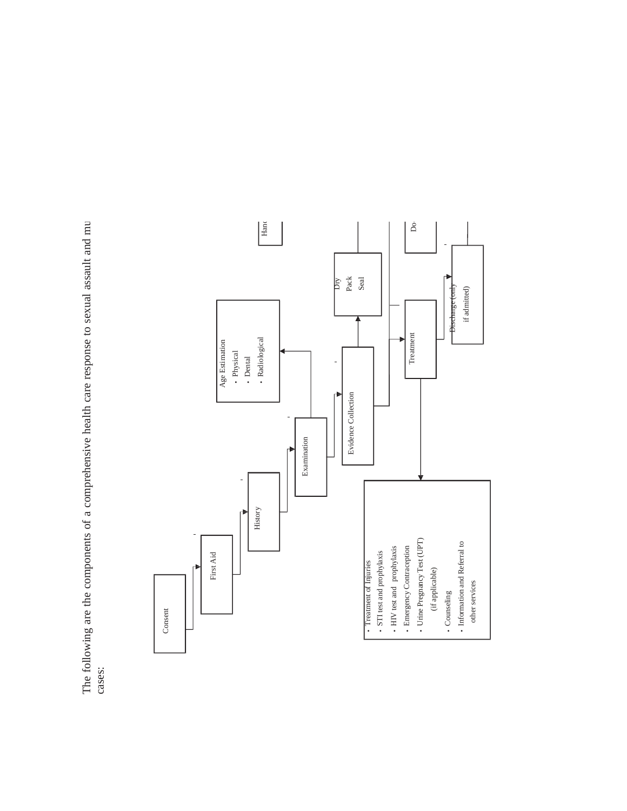The following are the components of a comprehensive health care response to sexual assault and m ⊒ cases:

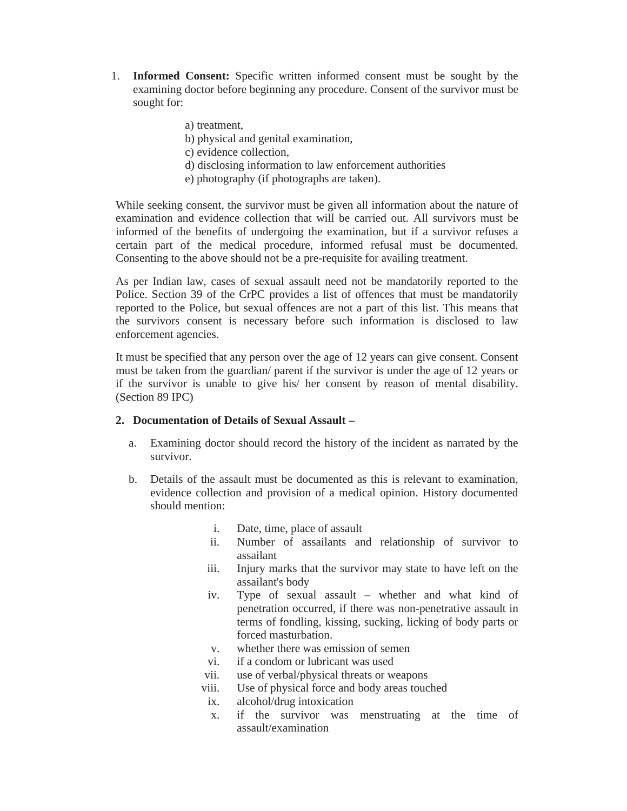- 1. **Informed Consent:** Specific written informed consent must be sought by the examining doctor before beginning any procedure. Consent of the survivor must be sought for:
	- a) treatment,
	- b) physical and genital examination,
	- c) evidence collection,
	- d) disclosing information to law enforcement authorities
	- e) photography (if photographs are taken).

While seeking consent, the survivor must be given all information about the nature of examination and evidence collection that will be carried out. All survivors must be informed of the benefits of undergoing the examination, but if a survivor refuses a certain part of the medical procedure, informed refusal must be documented. Consenting to the above should not be a pre-requisite for availing treatment.

As per Indian law, cases of sexual assault need not be mandatorily reported to the Police. Section 39 of the CrPC provides a list of offences that must be mandatorily reported to the Police, but sexual offences are not a part of this list. This means that the survivors consent is necessary before such information is disclosed to law enforcement agencies.

It must be specified that any person over the age of 12 years can give consent. Consent must be taken from the guardian/ parent if the survivor is under the age of 12 years or if the survivor is unable to give his/ her consent by reason of mental disability. (Section 89 IPC)

#### **2. Documentation of Details of Sexual Assault –**

- a. Examining doctor should record the history of the incident as narrated by the survivor.
- b. Details of the assault must be documented as this is relevant to examination, evidence collection and provision of a medical opinion. History documented should mention:
	- i. Date, time, place of assault
	- ii. Number of assailants and relationship of survivor to assailant
	- iii. Injury marks that the survivor may state to have left on the assailant's body
	- iv. Type of sexual assault whether and what kind of penetration occurred, if there was non-penetrative assault in terms of fondling, kissing, sucking, licking of body parts or forced masturbation.
	- v. whether there was emission of semen
	- vi. if a condom or lubricant was used
	- vii. use of verbal/physical threats or weapons
	- viii. Use of physical force and body areas touched
	- ix. alcohol/drug intoxication
	- x. if the survivor was menstruating at the time of assault/examination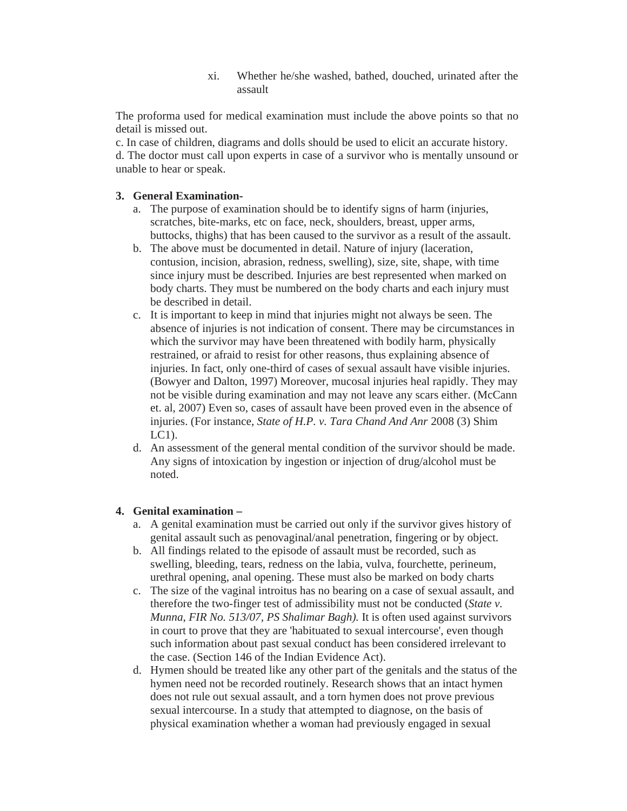xi. Whether he/she washed, bathed, douched, urinated after the assault

The proforma used for medical examination must include the above points so that no detail is missed out.

c. In case of children, diagrams and dolls should be used to elicit an accurate history. d. The doctor must call upon experts in case of a survivor who is mentally unsound or unable to hear or speak.

#### **3. General Examination-**

- a. The purpose of examination should be to identify signs of harm (injuries, scratches, bite-marks, etc on face, neck, shoulders, breast, upper arms, buttocks, thighs) that has been caused to the survivor as a result of the assault.
- b. The above must be documented in detail. Nature of injury (laceration, contusion, incision, abrasion, redness, swelling), size, site, shape, with time since injury must be described. Injuries are best represented when marked on body charts. They must be numbered on the body charts and each injury must be described in detail.
- c. It is important to keep in mind that injuries might not always be seen. The absence of injuries is not indication of consent. There may be circumstances in which the survivor may have been threatened with bodily harm, physically restrained, or afraid to resist for other reasons, thus explaining absence of injuries. In fact, only one-third of cases of sexual assault have visible injuries. (Bowyer and Dalton, 1997) Moreover, mucosal injuries heal rapidly. They may not be visible during examination and may not leave any scars either. (McCann et. al, 2007) Even so, cases of assault have been proved even in the absence of injuries. (For instance, *State of H.P. v. Tara Chand And Anr* 2008 (3) Shim LC1).
- d. An assessment of the general mental condition of the survivor should be made. Any signs of intoxication by ingestion or injection of drug/alcohol must be noted.

#### **4. Genital examination –**

- a. A genital examination must be carried out only if the survivor gives history of genital assault such as penovaginal/anal penetration, fingering or by object.
- b. All findings related to the episode of assault must be recorded, such as swelling, bleeding, tears, redness on the labia, vulva, fourchette, perineum, urethral opening, anal opening. These must also be marked on body charts
- c. The size of the vaginal introitus has no bearing on a case of sexual assault, and therefore the two-finger test of admissibility must not be conducted (*State v. Munna*, *FIR No. 513/07, PS Shalimar Bagh).* It is often used against survivors in court to prove that they are 'habituated to sexual intercourse', even though such information about past sexual conduct has been considered irrelevant to the case. (Section 146 of the Indian Evidence Act).
- d. Hymen should be treated like any other part of the genitals and the status of the hymen need not be recorded routinely. Research shows that an intact hymen does not rule out sexual assault, and a torn hymen does not prove previous sexual intercourse. In a study that attempted to diagnose, on the basis of physical examination whether a woman had previously engaged in sexual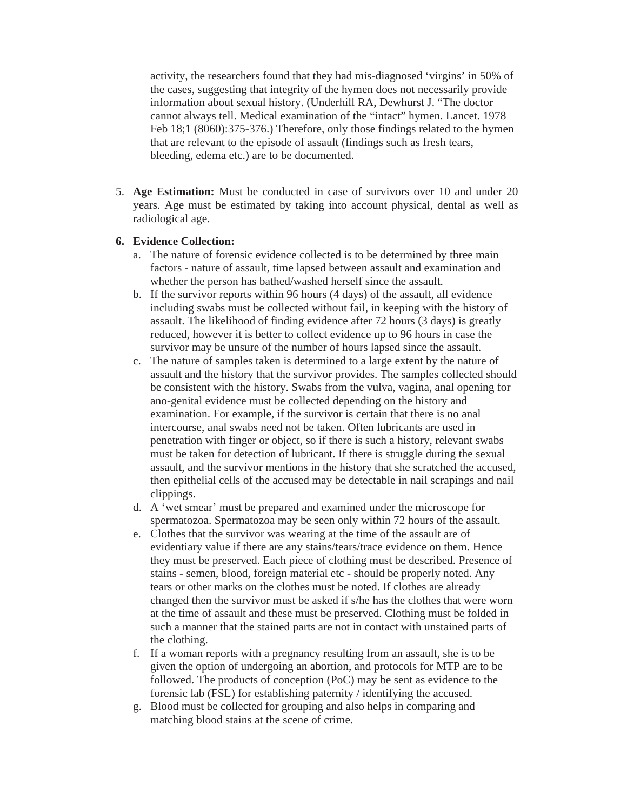activity, the researchers found that they had mis-diagnosed 'virgins' in 50% of the cases, suggesting that integrity of the hymen does not necessarily provide information about sexual history. (Underhill RA, Dewhurst J. "The doctor cannot always tell. Medical examination of the "intact" hymen. Lancet. 1978 Feb 18;1 (8060):375-376.) Therefore, only those findings related to the hymen that are relevant to the episode of assault (findings such as fresh tears, bleeding, edema etc.) are to be documented.

5. **Age Estimation:** Must be conducted in case of survivors over 10 and under 20 years. Age must be estimated by taking into account physical, dental as well as radiological age.

#### **6. Evidence Collection:**

- a. The nature of forensic evidence collected is to be determined by three main factors - nature of assault, time lapsed between assault and examination and whether the person has bathed/washed herself since the assault.
- b. If the survivor reports within 96 hours (4 days) of the assault, all evidence including swabs must be collected without fail, in keeping with the history of assault. The likelihood of finding evidence after 72 hours (3 days) is greatly reduced, however it is better to collect evidence up to 96 hours in case the survivor may be unsure of the number of hours lapsed since the assault.
- c. The nature of samples taken is determined to a large extent by the nature of assault and the history that the survivor provides. The samples collected should be consistent with the history. Swabs from the vulva, vagina, anal opening for ano-genital evidence must be collected depending on the history and examination. For example, if the survivor is certain that there is no anal intercourse, anal swabs need not be taken. Often lubricants are used in penetration with finger or object, so if there is such a history, relevant swabs must be taken for detection of lubricant. If there is struggle during the sexual assault, and the survivor mentions in the history that she scratched the accused, then epithelial cells of the accused may be detectable in nail scrapings and nail clippings.
- d. A 'wet smear' must be prepared and examined under the microscope for spermatozoa. Spermatozoa may be seen only within 72 hours of the assault.
- e. Clothes that the survivor was wearing at the time of the assault are of evidentiary value if there are any stains/tears/trace evidence on them. Hence they must be preserved. Each piece of clothing must be described. Presence of stains - semen, blood, foreign material etc - should be properly noted. Any tears or other marks on the clothes must be noted. If clothes are already changed then the survivor must be asked if s/he has the clothes that were worn at the time of assault and these must be preserved. Clothing must be folded in such a manner that the stained parts are not in contact with unstained parts of the clothing.
- f. If a woman reports with a pregnancy resulting from an assault, she is to be given the option of undergoing an abortion, and protocols for MTP are to be followed. The products of conception (PoC) may be sent as evidence to the forensic lab (FSL) for establishing paternity / identifying the accused.
- g. Blood must be collected for grouping and also helps in comparing and matching blood stains at the scene of crime.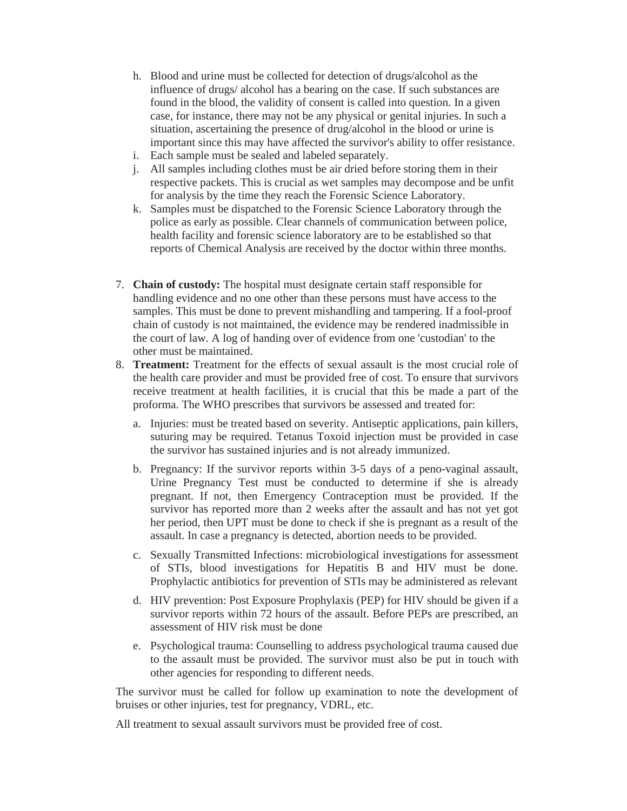- h. Blood and urine must be collected for detection of drugs/alcohol as the influence of drugs/ alcohol has a bearing on the case. If such substances are found in the blood, the validity of consent is called into question. In a given case, for instance, there may not be any physical or genital injuries. In such a situation, ascertaining the presence of drug/alcohol in the blood or urine is important since this may have affected the survivor's ability to offer resistance.
- i. Each sample must be sealed and labeled separately.
- j. All samples including clothes must be air dried before storing them in their respective packets. This is crucial as wet samples may decompose and be unfit for analysis by the time they reach the Forensic Science Laboratory.
- k. Samples must be dispatched to the Forensic Science Laboratory through the police as early as possible. Clear channels of communication between police, health facility and forensic science laboratory are to be established so that reports of Chemical Analysis are received by the doctor within three months.
- 7. **Chain of custody:** The hospital must designate certain staff responsible for handling evidence and no one other than these persons must have access to the samples. This must be done to prevent mishandling and tampering. If a fool-proof chain of custody is not maintained, the evidence may be rendered inadmissible in the court of law. A log of handing over of evidence from one 'custodian' to the other must be maintained.
- 8. **Treatment:** Treatment for the effects of sexual assault is the most crucial role of the health care provider and must be provided free of cost. To ensure that survivors receive treatment at health facilities, it is crucial that this be made a part of the proforma. The WHO prescribes that survivors be assessed and treated for:
	- a. Injuries: must be treated based on severity. Antiseptic applications, pain killers, suturing may be required. Tetanus Toxoid injection must be provided in case the survivor has sustained injuries and is not already immunized.
	- b. Pregnancy: If the survivor reports within 3-5 days of a peno-vaginal assault, Urine Pregnancy Test must be conducted to determine if she is already pregnant. If not, then Emergency Contraception must be provided. If the survivor has reported more than 2 weeks after the assault and has not yet got her period, then UPT must be done to check if she is pregnant as a result of the assault. In case a pregnancy is detected, abortion needs to be provided.
	- c. Sexually Transmitted Infections: microbiological investigations for assessment of STIs, blood investigations for Hepatitis B and HIV must be done. Prophylactic antibiotics for prevention of STIs may be administered as relevant
	- d. HIV prevention: Post Exposure Prophylaxis (PEP) for HIV should be given if a survivor reports within 72 hours of the assault. Before PEPs are prescribed, an assessment of HIV risk must be done
	- e. Psychological trauma: Counselling to address psychological trauma caused due to the assault must be provided. The survivor must also be put in touch with other agencies for responding to different needs.

The survivor must be called for follow up examination to note the development of bruises or other injuries, test for pregnancy, VDRL, etc.

All treatment to sexual assault survivors must be provided free of cost.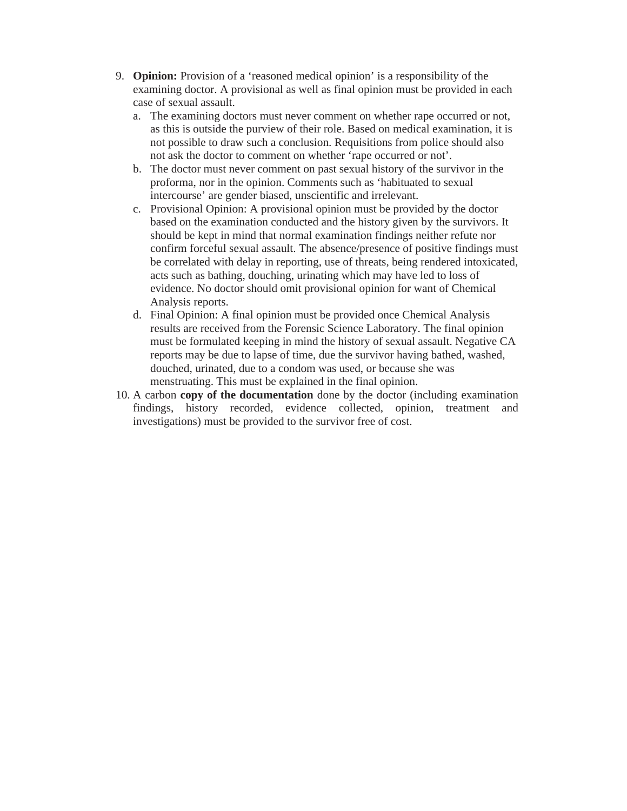- 9. **Opinion:** Provision of a 'reasoned medical opinion' is a responsibility of the examining doctor. A provisional as well as final opinion must be provided in each case of sexual assault.
	- a. The examining doctors must never comment on whether rape occurred or not, as this is outside the purview of their role. Based on medical examination, it is not possible to draw such a conclusion. Requisitions from police should also not ask the doctor to comment on whether 'rape occurred or not'.
	- b. The doctor must never comment on past sexual history of the survivor in the proforma, nor in the opinion. Comments such as 'habituated to sexual intercourse' are gender biased, unscientific and irrelevant.
	- c. Provisional Opinion: A provisional opinion must be provided by the doctor based on the examination conducted and the history given by the survivors. It should be kept in mind that normal examination findings neither refute nor confirm forceful sexual assault. The absence/presence of positive findings must be correlated with delay in reporting, use of threats, being rendered intoxicated, acts such as bathing, douching, urinating which may have led to loss of evidence. No doctor should omit provisional opinion for want of Chemical Analysis reports.
	- d. Final Opinion: A final opinion must be provided once Chemical Analysis results are received from the Forensic Science Laboratory. The final opinion must be formulated keeping in mind the history of sexual assault. Negative CA reports may be due to lapse of time, due the survivor having bathed, washed, douched, urinated, due to a condom was used, or because she was menstruating. This must be explained in the final opinion.
- 10. A carbon **copy of the documentation** done by the doctor (including examination findings, history recorded, evidence collected, opinion, treatment and investigations) must be provided to the survivor free of cost.